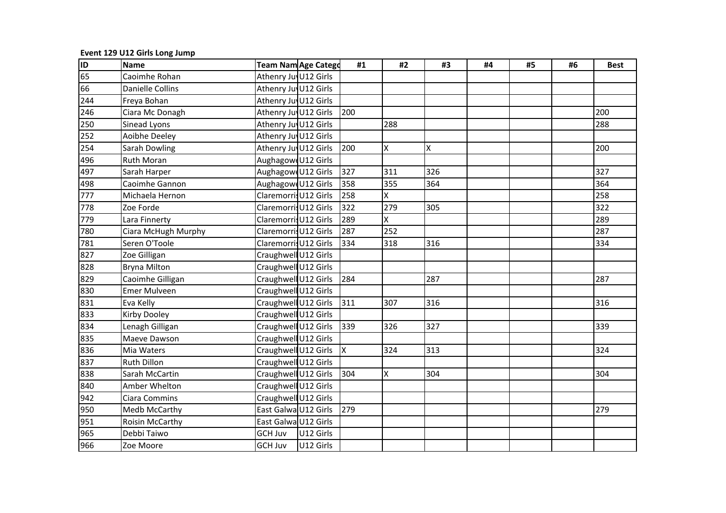**Event 129 U12 Girls Long Jump**

| <b>ID</b> | <b>Name</b>             |                       | <b>Team Nam Age Catego</b> | #1       | #2  | #3  | #4 | #5 | #6 | <b>Best</b> |
|-----------|-------------------------|-----------------------|----------------------------|----------|-----|-----|----|----|----|-------------|
| 65        | Caoimhe Rohan           | Athenry Ju U12 Girls  |                            |          |     |     |    |    |    |             |
| 66        | <b>Danielle Collins</b> | Athenry Ju U12 Girls  |                            |          |     |     |    |    |    |             |
| 244       | Freya Bohan             | Athenry Ju U12 Girls  |                            |          |     |     |    |    |    |             |
| 246       | Ciara Mc Donagh         | Athenry Ju U12 Girls  |                            | 200      |     |     |    |    |    | 200         |
| 250       | Sinead Lyons            | Athenry Ju U12 Girls  |                            |          | 288 |     |    |    |    | 288         |
| 252       | Aoibhe Deeley           | Athenry Ju U12 Girls  |                            |          |     |     |    |    |    |             |
| 254       | <b>Sarah Dowling</b>    | Athenry Ju U12 Girls  |                            | 200      | X   | X   |    |    |    | 200         |
| 496       | <b>Ruth Moran</b>       | Aughagow U12 Girls    |                            |          |     |     |    |    |    |             |
| 497       | Sarah Harper            | Aughagow U12 Girls    |                            | 327      | 311 | 326 |    |    |    | 327         |
| 498       | Caoimhe Gannon          | Aughagow U12 Girls    |                            | 358      | 355 | 364 |    |    |    | 364         |
| 777       | Michaela Hernon         | Claremorris U12 Girls |                            | 258      | X   |     |    |    |    | 258         |
| 778       | Zoe Forde               | Claremorris U12 Girls |                            | 322      | 279 | 305 |    |    |    | 322         |
| 779       | Lara Finnerty           | Claremorris U12 Girls |                            | 289      | X   |     |    |    |    | 289         |
| 780       | Ciara McHugh Murphy     | Claremorris U12 Girls |                            | 287      | 252 |     |    |    |    | 287         |
| 781       | Seren O'Toole           | Claremorris U12 Girls |                            | 334      | 318 | 316 |    |    |    | 334         |
| 827       | Zoe Gilligan            | Craughwell U12 Girls  |                            |          |     |     |    |    |    |             |
| 828       | <b>Bryna Milton</b>     | Craughwell U12 Girls  |                            |          |     |     |    |    |    |             |
| 829       | Caoimhe Gilligan        | Craughwell U12 Girls  |                            | 284      |     | 287 |    |    |    | 287         |
| 830       | <b>Emer Mulveen</b>     | Craughwell U12 Girls  |                            |          |     |     |    |    |    |             |
| 831       | Eva Kelly               | Craughwell U12 Girls  |                            | 311      | 307 | 316 |    |    |    | 316         |
| 833       | Kirby Dooley            | Craughwell U12 Girls  |                            |          |     |     |    |    |    |             |
| 834       | Lenagh Gilligan         | Craughwell U12 Girls  |                            | 339      | 326 | 327 |    |    |    | 339         |
| 835       | Maeve Dawson            | Craughwell U12 Girls  |                            |          |     |     |    |    |    |             |
| 836       | Mia Waters              | Craughwell U12 Girls  |                            | <b>X</b> | 324 | 313 |    |    |    | 324         |
| 837       | <b>Ruth Dillon</b>      | Craughwell U12 Girls  |                            |          |     |     |    |    |    |             |
| 838       | Sarah McCartin          | Craughwell U12 Girls  |                            | 304      | X   | 304 |    |    |    | 304         |
| 840       | Amber Whelton           | Craughwell U12 Girls  |                            |          |     |     |    |    |    |             |
| 942       | <b>Ciara Commins</b>    | Craughwell U12 Girls  |                            |          |     |     |    |    |    |             |
| 950       | <b>Medb McCarthy</b>    | East Galwa U12 Girls  |                            | 279      |     |     |    |    |    | 279         |
| 951       | Roisin McCarthy         | East Galwa U12 Girls  |                            |          |     |     |    |    |    |             |
| 965       | Debbi Taiwo             | <b>GCH Juv</b>        | U12 Girls                  |          |     |     |    |    |    |             |
| 966       | Zoe Moore               | GCH Juv               | U12 Girls                  |          |     |     |    |    |    |             |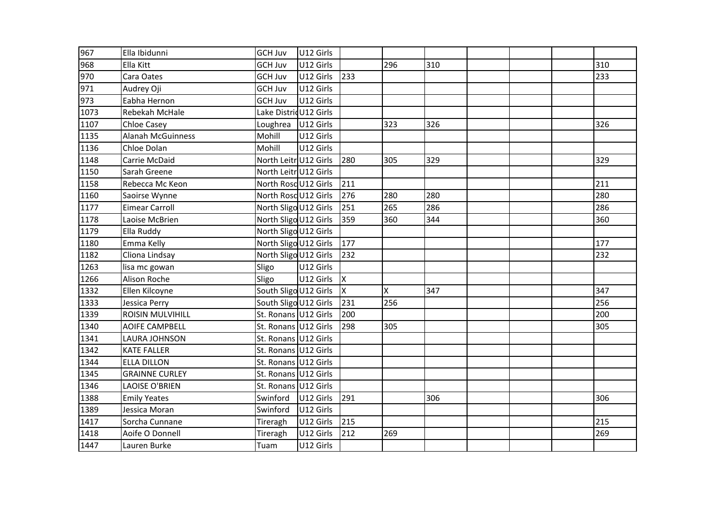| 967  | Ella Ibidunni            | <b>GCH Juv</b>         | U12 Girls |          |     |     |  |     |
|------|--------------------------|------------------------|-----------|----------|-----|-----|--|-----|
| 968  | Ella Kitt                | <b>GCH Juv</b>         | U12 Girls |          | 296 | 310 |  | 310 |
| 970  | Cara Oates               | <b>GCH Juv</b>         | U12 Girls | 233      |     |     |  | 233 |
| 971  | Audrey Oji               | <b>GCH Juv</b>         | U12 Girls |          |     |     |  |     |
| 973  | Eabha Hernon             | <b>GCH Juv</b>         | U12 Girls |          |     |     |  |     |
| 1073 | Rebekah McHale           | Lake Distric U12 Girls |           |          |     |     |  |     |
| 1107 | <b>Chloe Casey</b>       | Loughrea               | U12 Girls |          | 323 | 326 |  | 326 |
| 1135 | <b>Alanah McGuinness</b> | Mohill                 | U12 Girls |          |     |     |  |     |
| 1136 | Chloe Dolan              | Mohill                 | U12 Girls |          |     |     |  |     |
| 1148 | Carrie McDaid            | North Leitr U12 Girls  |           | 280      | 305 | 329 |  | 329 |
| 1150 | Sarah Greene             | North Leitr U12 Girls  |           |          |     |     |  |     |
| 1158 | Rebecca Mc Keon          | North Rosc U12 Girls   |           | 211      |     |     |  | 211 |
| 1160 | Saoirse Wynne            | North Rosc U12 Girls   |           | 276      | 280 | 280 |  | 280 |
| 1177 | Eimear Carroll           | North Sligo U12 Girls  |           | 251      | 265 | 286 |  | 286 |
| 1178 | Laoise McBrien           | North Sligo U12 Girls  |           | 359      | 360 | 344 |  | 360 |
| 1179 | Ella Ruddy               | North Sligo U12 Girls  |           |          |     |     |  |     |
| 1180 | Emma Kelly               | North Sligo U12 Girls  |           | 177      |     |     |  | 177 |
| 1182 | Cliona Lindsay           | North Sligo U12 Girls  |           | 232      |     |     |  | 232 |
| 1263 | lisa mc gowan            | Sligo                  | U12 Girls |          |     |     |  |     |
| 1266 | Alison Roche             | Sligo                  | U12 Girls | <b>X</b> |     |     |  |     |
| 1332 | Ellen Kilcoyne           | South Sligo U12 Girls  |           | <b>x</b> | Χ   | 347 |  | 347 |
| 1333 | Jessica Perry            | South Sligo U12 Girls  |           | 231      | 256 |     |  | 256 |
| 1339 | <b>ROISIN MULVIHILL</b>  | St. Ronans U12 Girls   |           | 200      |     |     |  | 200 |
| 1340 | <b>AOIFE CAMPBELL</b>    | St. Ronans U12 Girls   |           | 298      | 305 |     |  | 305 |
| 1341 | <b>LAURA JOHNSON</b>     | St. Ronans U12 Girls   |           |          |     |     |  |     |
| 1342 | <b>KATE FALLER</b>       | St. Ronans U12 Girls   |           |          |     |     |  |     |
| 1344 | <b>ELLA DILLON</b>       | St. Ronans U12 Girls   |           |          |     |     |  |     |
| 1345 | <b>GRAINNE CURLEY</b>    | St. Ronans U12 Girls   |           |          |     |     |  |     |
| 1346 | <b>LAOISE O'BRIEN</b>    | St. Ronans U12 Girls   |           |          |     |     |  |     |
| 1388 | <b>Emily Yeates</b>      | Swinford               | U12 Girls | 291      |     | 306 |  | 306 |
| 1389 | Jessica Moran            | Swinford               | U12 Girls |          |     |     |  |     |
| 1417 | Sorcha Cunnane           | Tireragh               | U12 Girls | 215      |     |     |  | 215 |
| 1418 | Aoife O Donnell          | Tireragh               | U12 Girls | 212      | 269 |     |  | 269 |
| 1447 | Lauren Burke             | Tuam                   | U12 Girls |          |     |     |  |     |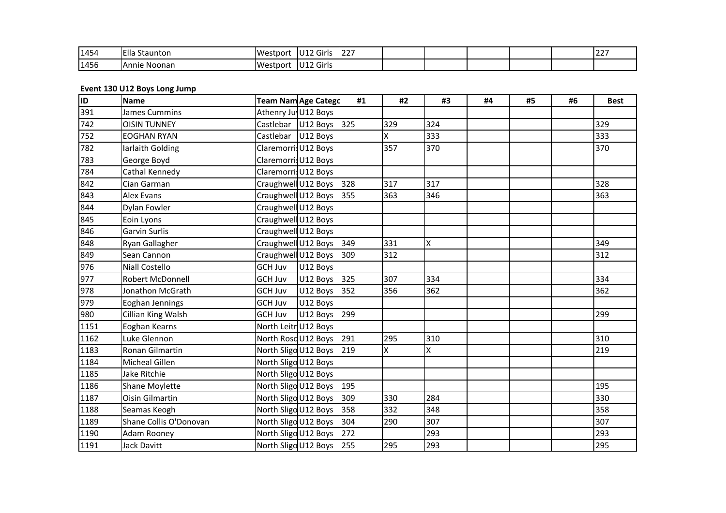| 1454 | <b>IElla</b><br>. Staunton | <b>Westport</b> | U12 Girls | <b>227</b> |  |  | 144 I |
|------|----------------------------|-----------------|-----------|------------|--|--|-------|
| 1456 | <b>Annie Noonan</b>        | Westport        | U12 Girls |            |  |  |       |

### **Event 130 U12 Boys Long Jump**

| ID   | <b>Name</b>            |                      | Team Nam Age Catego  | #1  | #2  | #3  | #4 | #5 | #6 | <b>Best</b> |
|------|------------------------|----------------------|----------------------|-----|-----|-----|----|----|----|-------------|
| 391  | James Cummins          | Athenry JuvU12 Boys  |                      |     |     |     |    |    |    |             |
| 742  | <b>OISIN TUNNEY</b>    | Castlebar            | U12 Boys             | 325 | 329 | 324 |    |    |    | 329         |
| 752  | <b>EOGHAN RYAN</b>     | Castlebar            | U12 Boys             |     | X   | 333 |    |    |    | 333         |
| 782  | Iarlaith Golding       | Claremorris U12 Boys |                      |     | 357 | 370 |    |    |    | 370         |
| 783  | George Boyd            | Claremorris U12 Boys |                      |     |     |     |    |    |    |             |
| 784  | Cathal Kennedy         | Claremorris U12 Boys |                      |     |     |     |    |    |    |             |
| 842  | Cian Garman            |                      | Craughwell U12 Boys  | 328 | 317 | 317 |    |    |    | 328         |
| 843  | Alex Evans             |                      | Craughwell U12 Boys  | 355 | 363 | 346 |    |    |    | 363         |
| 844  | Dylan Fowler           | Craughwell U12 Boys  |                      |     |     |     |    |    |    |             |
| 845  | Eoin Lyons             | Craughwell U12 Boys  |                      |     |     |     |    |    |    |             |
| 846  | <b>Garvin Surlis</b>   | Craughwell U12 Boys  |                      |     |     |     |    |    |    |             |
| 848  | Ryan Gallagher         |                      | Craughwell U12 Boys  | 349 | 331 | X   |    |    |    | 349         |
| 849  | Sean Cannon            |                      | Craughwell U12 Boys  | 309 | 312 |     |    |    |    | 312         |
| 976  | <b>Niall Costello</b>  | <b>GCH Juv</b>       | U12 Boys             |     |     |     |    |    |    |             |
| 977  | Robert McDonnell       | <b>GCH Juv</b>       | U12 Boys             | 325 | 307 | 334 |    |    |    | 334         |
| 978  | Jonathon McGrath       | <b>GCH Juv</b>       | U12 Boys             | 352 | 356 | 362 |    |    |    | 362         |
| 979  | Eoghan Jennings        | <b>GCH Juv</b>       | U12 Boys             |     |     |     |    |    |    |             |
| 980  | Cillian King Walsh     | <b>GCH Juv</b>       | U12 Boys             | 299 |     |     |    |    |    | 299         |
| 1151 | Eoghan Kearns          | North Leitr U12 Boys |                      |     |     |     |    |    |    |             |
| 1162 | Luke Glennon           | North Rosc U12 Boys  |                      | 291 | 295 | 310 |    |    |    | 310         |
| 1183 | Ronan Gilmartin        |                      | North Sligo U12 Boys | 219 | X   | X   |    |    |    | 219         |
| 1184 | Micheal Gillen         | North Sligo U12 Boys |                      |     |     |     |    |    |    |             |
| 1185 | Jake Ritchie           | North Sligo U12 Boys |                      |     |     |     |    |    |    |             |
| 1186 | Shane Moylette         |                      | North Sligo U12 Boys | 195 |     |     |    |    |    | 195         |
| 1187 | <b>Oisin Gilmartin</b> | North Sligo U12 Boys |                      | 309 | 330 | 284 |    |    |    | 330         |
| 1188 | Seamas Keogh           | North Sligo U12 Boys |                      | 358 | 332 | 348 |    |    |    | 358         |
| 1189 | Shane Collis O'Donovan | North Sligo U12 Boys |                      | 304 | 290 | 307 |    |    |    | 307         |
| 1190 | Adam Rooney            | North Sligo U12 Boys |                      | 272 |     | 293 |    |    |    | 293         |
| 1191 | <b>Jack Davitt</b>     | North Sligo U12 Boys |                      | 255 | 295 | 293 |    |    |    | 295         |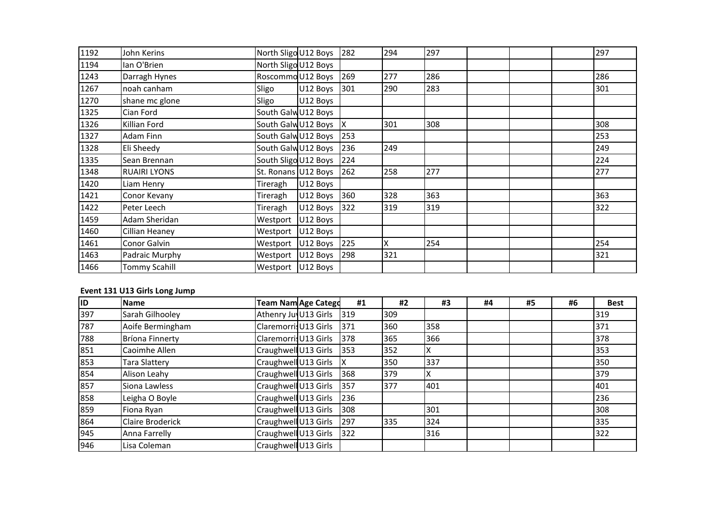| 1192 | John Kerins          | North Sligo U12 Boys |                     | 282 | 294 | 297 | 297 |
|------|----------------------|----------------------|---------------------|-----|-----|-----|-----|
| 1194 | Ian O'Brien          | North Sligo U12 Boys |                     |     |     |     |     |
| 1243 | Darragh Hynes        | Roscommo U12 Boys    |                     | 269 | 277 | 286 | 286 |
| 1267 | noah canham          | Sligo                | U12 Boys            | 301 | 290 | 283 | 301 |
| 1270 | shane mc glone       | Sligo                | U12 Boys            |     |     |     |     |
| 1325 | Cian Ford            | South GalwU12 Boys   |                     |     |     |     |     |
| 1326 | Killian Ford         |                      | South Galw U12 Boys | x   | 301 | 308 | 308 |
| 1327 | <b>Adam Finn</b>     | South Galw U12 Boys  |                     | 253 |     |     | 253 |
| 1328 | Eli Sheedy           | South Galw U12 Boys  |                     | 236 | 249 |     | 249 |
| 1335 | Sean Brennan         | South Sligo U12 Boys |                     | 224 |     |     | 224 |
| 1348 | <b>RUAIRI LYONS</b>  | St. Ronans U12 Boys  |                     | 262 | 258 | 277 | 277 |
| 1420 | Liam Henry           | Tireragh             | U12 Boys            |     |     |     |     |
| 1421 | Conor Kevany         | Tireragh             | U12 Boys            | 360 | 328 | 363 | 363 |
| 1422 | Peter Leech          | Tireragh             | U12 Boys            | 322 | 319 | 319 | 322 |
| 1459 | Adam Sheridan        | Westport             | U12 Boys            |     |     |     |     |
| 1460 | Cillian Heaney       | Westport             | U12 Boys            |     |     |     |     |
| 1461 | Conor Galvin         | Westport             | U12 Boys            | 225 | X   | 254 | 254 |
| 1463 | Padraic Murphy       | Westport             | U12 Boys            | 298 | 321 |     | 321 |
| 1466 | <b>Tommy Scahill</b> | Westport             | U12 Boys            |     |     |     |     |

#### **Event 131 U13 Girls Long Jump**

| ID  | <b>Name</b>            | <b>Team Nam Age Catego</b>   | #1  | #2  | #3  | #4 | #5 | #6 | <b>Best</b> |
|-----|------------------------|------------------------------|-----|-----|-----|----|----|----|-------------|
| 397 | Sarah Gilhooley        | Athenry Juy U13 Girls        | 319 | 309 |     |    |    |    | 319         |
| 787 | Aoife Bermingham       | <b>Claremorris U13 Girls</b> | 371 | 360 | 358 |    |    |    | 371         |
| 788 | <b>Bríona Finnerty</b> | Claremorris U13 Girls        | 378 | 365 | 366 |    |    |    | 378         |
| 851 | Caoimhe Allen          | Craughwell U13 Girls         | 353 | 352 |     |    |    |    | 353         |
| 853 | <b>Tara Slattery</b>   | Craughwell U13 Girls         |     | 350 | 337 |    |    |    | 350         |
| 854 | Alison Leahy           | Craughwell U13 Girls         | 368 | 379 |     |    |    |    | 379         |
| 857 | Siona Lawless          | Craughwell U13 Girls         | 357 | 377 | 401 |    |    |    | 401         |
| 858 | Leigha O Boyle         | Craughwell U13 Girls         | 236 |     |     |    |    |    | 236         |
| 859 | Fiona Ryan             | Craughwell U13 Girls         | 308 |     | 301 |    |    |    | 308         |
| 864 | Claire Broderick       | Craughwell U13 Girls         | 297 | 335 | 324 |    |    |    | 335         |
| 945 | Anna Farrelly          | Craughwell U13 Girls         | 322 |     | 316 |    |    |    | 322         |
| 946 | Lisa Coleman           | Craughwell U13 Girls         |     |     |     |    |    |    |             |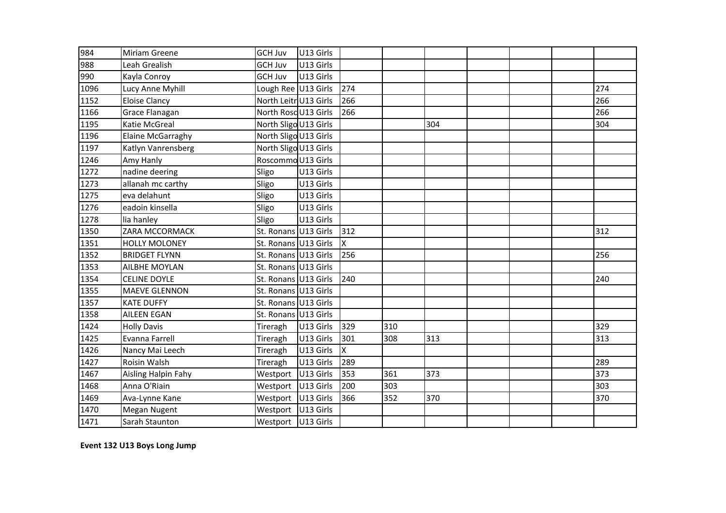| 984<br><b>GCH Juv</b><br>U13 Girls<br>Miriam Greene<br>988<br>U13 Girls<br>Leah Grealish<br><b>GCH Juv</b><br>990<br>U13 Girls<br>Kayla Conroy<br>GCH Juv<br>1096<br>Lough Ree U13 Girls<br>274<br>Lucy Anne Myhill<br>266<br>1152<br>North Leitr U13 Girls<br><b>Eloise Clancy</b><br>266<br>1166<br>North Rosc U13 Girls<br>Grace Flanagan<br><b>Katie McGreal</b><br>North Sligo U13 Girls<br>1195<br>304<br>1196<br>North Sligo U13 Girls<br>Elaine McGarraghy<br>North Sligo U13 Girls<br>1197<br>Katlyn Vanrensberg<br>1246<br>Amy Hanly<br>Roscommo U13 Girls<br>1272<br>nadine deering<br>U13 Girls<br>Sligo<br>allanah mc carthy<br>1273<br>Sligo<br>U13 Girls<br>1275<br>eva delahunt<br>U13 Girls<br>Sligo<br>1276<br>eadoin kinsella<br>U13 Girls<br>Sligo<br>1278<br>lia hanley<br>U13 Girls<br>Sligo<br>312<br>1350<br>ZARA MCCORMACK<br>St. Ronans U13 Girls<br>X<br>1351<br>St. Ronans U13 Girls<br><b>HOLLY MOLONEY</b><br>St. Ronans U13 Girls<br>256<br>1352<br><b>BRIDGET FLYNN</b><br>1353<br>St. Ronans U13 Girls<br><b>AILBHE MOYLAN</b><br>240<br>1354<br><b>CELINE DOYLE</b><br>St. Ronans U13 Girls<br>1355<br>St. Ronans U13 Girls<br><b>MAEVE GLENNON</b><br>1357<br>St. Ronans U13 Girls<br><b>KATE DUFFY</b><br>1358<br><b>AILEEN EGAN</b><br>St. Ronans U13 Girls<br>329<br>310<br>1424<br>U13 Girls<br><b>Holly Davis</b><br>Tireragh<br>Evanna Farrell<br>U13 Girls<br>301<br>308<br>1425<br>313<br>Tireragh<br>U13 Girls<br>X<br>1426<br>Nancy Mai Leech<br>Tireragh<br>289<br>1427<br>Roisin Walsh<br>U13 Girls<br>Tireragh<br>353<br>1467<br>361<br>373<br>U13 Girls<br>Aisling Halpin Fahy<br>Westport<br>Anna O'Riain<br>303<br>1468<br>U13 Girls<br>200<br>Westport<br>U13 Girls<br>370<br>1469<br>Ava-Lynne Kane<br>366<br>352<br>Westport<br>1470<br>U13 Girls<br>Megan Nugent<br>Westport |      |                |  |  |  |  |     |
|-------------------------------------------------------------------------------------------------------------------------------------------------------------------------------------------------------------------------------------------------------------------------------------------------------------------------------------------------------------------------------------------------------------------------------------------------------------------------------------------------------------------------------------------------------------------------------------------------------------------------------------------------------------------------------------------------------------------------------------------------------------------------------------------------------------------------------------------------------------------------------------------------------------------------------------------------------------------------------------------------------------------------------------------------------------------------------------------------------------------------------------------------------------------------------------------------------------------------------------------------------------------------------------------------------------------------------------------------------------------------------------------------------------------------------------------------------------------------------------------------------------------------------------------------------------------------------------------------------------------------------------------------------------------------------------------------------------------------------------------------------------------------------------------------------------------------------------|------|----------------|--|--|--|--|-----|
|                                                                                                                                                                                                                                                                                                                                                                                                                                                                                                                                                                                                                                                                                                                                                                                                                                                                                                                                                                                                                                                                                                                                                                                                                                                                                                                                                                                                                                                                                                                                                                                                                                                                                                                                                                                                                                     |      |                |  |  |  |  |     |
|                                                                                                                                                                                                                                                                                                                                                                                                                                                                                                                                                                                                                                                                                                                                                                                                                                                                                                                                                                                                                                                                                                                                                                                                                                                                                                                                                                                                                                                                                                                                                                                                                                                                                                                                                                                                                                     |      |                |  |  |  |  |     |
|                                                                                                                                                                                                                                                                                                                                                                                                                                                                                                                                                                                                                                                                                                                                                                                                                                                                                                                                                                                                                                                                                                                                                                                                                                                                                                                                                                                                                                                                                                                                                                                                                                                                                                                                                                                                                                     |      |                |  |  |  |  |     |
|                                                                                                                                                                                                                                                                                                                                                                                                                                                                                                                                                                                                                                                                                                                                                                                                                                                                                                                                                                                                                                                                                                                                                                                                                                                                                                                                                                                                                                                                                                                                                                                                                                                                                                                                                                                                                                     |      |                |  |  |  |  | 274 |
|                                                                                                                                                                                                                                                                                                                                                                                                                                                                                                                                                                                                                                                                                                                                                                                                                                                                                                                                                                                                                                                                                                                                                                                                                                                                                                                                                                                                                                                                                                                                                                                                                                                                                                                                                                                                                                     |      |                |  |  |  |  | 266 |
|                                                                                                                                                                                                                                                                                                                                                                                                                                                                                                                                                                                                                                                                                                                                                                                                                                                                                                                                                                                                                                                                                                                                                                                                                                                                                                                                                                                                                                                                                                                                                                                                                                                                                                                                                                                                                                     |      |                |  |  |  |  | 266 |
|                                                                                                                                                                                                                                                                                                                                                                                                                                                                                                                                                                                                                                                                                                                                                                                                                                                                                                                                                                                                                                                                                                                                                                                                                                                                                                                                                                                                                                                                                                                                                                                                                                                                                                                                                                                                                                     |      |                |  |  |  |  | 304 |
|                                                                                                                                                                                                                                                                                                                                                                                                                                                                                                                                                                                                                                                                                                                                                                                                                                                                                                                                                                                                                                                                                                                                                                                                                                                                                                                                                                                                                                                                                                                                                                                                                                                                                                                                                                                                                                     |      |                |  |  |  |  |     |
|                                                                                                                                                                                                                                                                                                                                                                                                                                                                                                                                                                                                                                                                                                                                                                                                                                                                                                                                                                                                                                                                                                                                                                                                                                                                                                                                                                                                                                                                                                                                                                                                                                                                                                                                                                                                                                     |      |                |  |  |  |  |     |
|                                                                                                                                                                                                                                                                                                                                                                                                                                                                                                                                                                                                                                                                                                                                                                                                                                                                                                                                                                                                                                                                                                                                                                                                                                                                                                                                                                                                                                                                                                                                                                                                                                                                                                                                                                                                                                     |      |                |  |  |  |  |     |
|                                                                                                                                                                                                                                                                                                                                                                                                                                                                                                                                                                                                                                                                                                                                                                                                                                                                                                                                                                                                                                                                                                                                                                                                                                                                                                                                                                                                                                                                                                                                                                                                                                                                                                                                                                                                                                     |      |                |  |  |  |  |     |
|                                                                                                                                                                                                                                                                                                                                                                                                                                                                                                                                                                                                                                                                                                                                                                                                                                                                                                                                                                                                                                                                                                                                                                                                                                                                                                                                                                                                                                                                                                                                                                                                                                                                                                                                                                                                                                     |      |                |  |  |  |  |     |
|                                                                                                                                                                                                                                                                                                                                                                                                                                                                                                                                                                                                                                                                                                                                                                                                                                                                                                                                                                                                                                                                                                                                                                                                                                                                                                                                                                                                                                                                                                                                                                                                                                                                                                                                                                                                                                     |      |                |  |  |  |  |     |
|                                                                                                                                                                                                                                                                                                                                                                                                                                                                                                                                                                                                                                                                                                                                                                                                                                                                                                                                                                                                                                                                                                                                                                                                                                                                                                                                                                                                                                                                                                                                                                                                                                                                                                                                                                                                                                     |      |                |  |  |  |  |     |
|                                                                                                                                                                                                                                                                                                                                                                                                                                                                                                                                                                                                                                                                                                                                                                                                                                                                                                                                                                                                                                                                                                                                                                                                                                                                                                                                                                                                                                                                                                                                                                                                                                                                                                                                                                                                                                     |      |                |  |  |  |  |     |
|                                                                                                                                                                                                                                                                                                                                                                                                                                                                                                                                                                                                                                                                                                                                                                                                                                                                                                                                                                                                                                                                                                                                                                                                                                                                                                                                                                                                                                                                                                                                                                                                                                                                                                                                                                                                                                     |      |                |  |  |  |  | 312 |
|                                                                                                                                                                                                                                                                                                                                                                                                                                                                                                                                                                                                                                                                                                                                                                                                                                                                                                                                                                                                                                                                                                                                                                                                                                                                                                                                                                                                                                                                                                                                                                                                                                                                                                                                                                                                                                     |      |                |  |  |  |  |     |
|                                                                                                                                                                                                                                                                                                                                                                                                                                                                                                                                                                                                                                                                                                                                                                                                                                                                                                                                                                                                                                                                                                                                                                                                                                                                                                                                                                                                                                                                                                                                                                                                                                                                                                                                                                                                                                     |      |                |  |  |  |  | 256 |
|                                                                                                                                                                                                                                                                                                                                                                                                                                                                                                                                                                                                                                                                                                                                                                                                                                                                                                                                                                                                                                                                                                                                                                                                                                                                                                                                                                                                                                                                                                                                                                                                                                                                                                                                                                                                                                     |      |                |  |  |  |  |     |
|                                                                                                                                                                                                                                                                                                                                                                                                                                                                                                                                                                                                                                                                                                                                                                                                                                                                                                                                                                                                                                                                                                                                                                                                                                                                                                                                                                                                                                                                                                                                                                                                                                                                                                                                                                                                                                     |      |                |  |  |  |  | 240 |
|                                                                                                                                                                                                                                                                                                                                                                                                                                                                                                                                                                                                                                                                                                                                                                                                                                                                                                                                                                                                                                                                                                                                                                                                                                                                                                                                                                                                                                                                                                                                                                                                                                                                                                                                                                                                                                     |      |                |  |  |  |  |     |
|                                                                                                                                                                                                                                                                                                                                                                                                                                                                                                                                                                                                                                                                                                                                                                                                                                                                                                                                                                                                                                                                                                                                                                                                                                                                                                                                                                                                                                                                                                                                                                                                                                                                                                                                                                                                                                     |      |                |  |  |  |  |     |
|                                                                                                                                                                                                                                                                                                                                                                                                                                                                                                                                                                                                                                                                                                                                                                                                                                                                                                                                                                                                                                                                                                                                                                                                                                                                                                                                                                                                                                                                                                                                                                                                                                                                                                                                                                                                                                     |      |                |  |  |  |  |     |
|                                                                                                                                                                                                                                                                                                                                                                                                                                                                                                                                                                                                                                                                                                                                                                                                                                                                                                                                                                                                                                                                                                                                                                                                                                                                                                                                                                                                                                                                                                                                                                                                                                                                                                                                                                                                                                     |      |                |  |  |  |  | 329 |
|                                                                                                                                                                                                                                                                                                                                                                                                                                                                                                                                                                                                                                                                                                                                                                                                                                                                                                                                                                                                                                                                                                                                                                                                                                                                                                                                                                                                                                                                                                                                                                                                                                                                                                                                                                                                                                     |      |                |  |  |  |  | 313 |
|                                                                                                                                                                                                                                                                                                                                                                                                                                                                                                                                                                                                                                                                                                                                                                                                                                                                                                                                                                                                                                                                                                                                                                                                                                                                                                                                                                                                                                                                                                                                                                                                                                                                                                                                                                                                                                     |      |                |  |  |  |  |     |
|                                                                                                                                                                                                                                                                                                                                                                                                                                                                                                                                                                                                                                                                                                                                                                                                                                                                                                                                                                                                                                                                                                                                                                                                                                                                                                                                                                                                                                                                                                                                                                                                                                                                                                                                                                                                                                     |      |                |  |  |  |  | 289 |
|                                                                                                                                                                                                                                                                                                                                                                                                                                                                                                                                                                                                                                                                                                                                                                                                                                                                                                                                                                                                                                                                                                                                                                                                                                                                                                                                                                                                                                                                                                                                                                                                                                                                                                                                                                                                                                     |      |                |  |  |  |  | 373 |
|                                                                                                                                                                                                                                                                                                                                                                                                                                                                                                                                                                                                                                                                                                                                                                                                                                                                                                                                                                                                                                                                                                                                                                                                                                                                                                                                                                                                                                                                                                                                                                                                                                                                                                                                                                                                                                     |      |                |  |  |  |  | 303 |
|                                                                                                                                                                                                                                                                                                                                                                                                                                                                                                                                                                                                                                                                                                                                                                                                                                                                                                                                                                                                                                                                                                                                                                                                                                                                                                                                                                                                                                                                                                                                                                                                                                                                                                                                                                                                                                     |      |                |  |  |  |  | 370 |
|                                                                                                                                                                                                                                                                                                                                                                                                                                                                                                                                                                                                                                                                                                                                                                                                                                                                                                                                                                                                                                                                                                                                                                                                                                                                                                                                                                                                                                                                                                                                                                                                                                                                                                                                                                                                                                     |      |                |  |  |  |  |     |
| Westport U13 Girls                                                                                                                                                                                                                                                                                                                                                                                                                                                                                                                                                                                                                                                                                                                                                                                                                                                                                                                                                                                                                                                                                                                                                                                                                                                                                                                                                                                                                                                                                                                                                                                                                                                                                                                                                                                                                  | 1471 | Sarah Staunton |  |  |  |  |     |

**Event 132 U13 Boys Long Jump**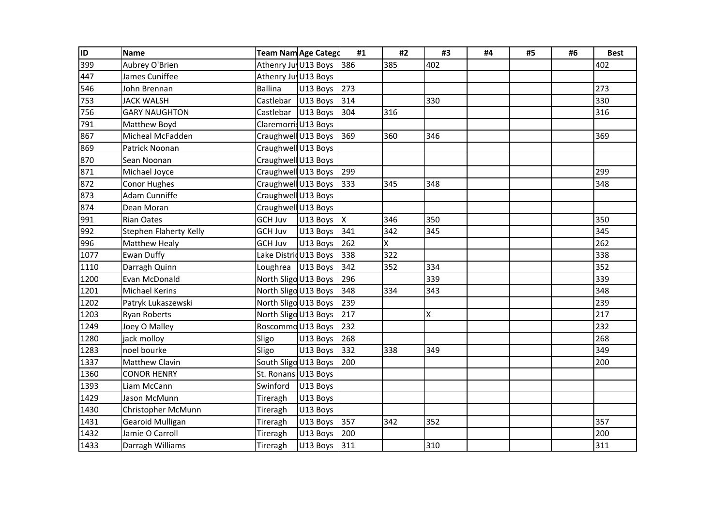| <b>ID</b> | <b>Name</b>                   |                       | Team Nam Age Catego | #1       | #2  | #3  | #4 | #5 | #6 | <b>Best</b> |
|-----------|-------------------------------|-----------------------|---------------------|----------|-----|-----|----|----|----|-------------|
| 399       | Aubrey O'Brien                | Athenry Ju U13 Boys   |                     | 386      | 385 | 402 |    |    |    | 402         |
| 447       | James Cuniffee                | Athenry JuvU13 Boys   |                     |          |     |     |    |    |    |             |
| 546       | John Brennan                  | <b>Ballina</b>        | U13 Boys            | 273      |     |     |    |    |    | 273         |
| 753       | <b>JACK WALSH</b>             | Castlebar             | U13 Boys            | 314      |     | 330 |    |    |    | 330         |
| 756       | <b>GARY NAUGHTON</b>          | Castlebar             | U13 Boys            | 304      | 316 |     |    |    |    | 316         |
| 791       | Matthew Boyd                  | Claremorris U13 Boys  |                     |          |     |     |    |    |    |             |
| 867       | Micheal McFadden              | Craughwell U13 Boys   |                     | 369      | 360 | 346 |    |    |    | 369         |
| 869       | Patrick Noonan                | Craughwell U13 Boys   |                     |          |     |     |    |    |    |             |
| 870       | Sean Noonan                   | Craughwell U13 Boys   |                     |          |     |     |    |    |    |             |
| 871       | Michael Joyce                 | Craughwell U13 Boys   |                     | 299      |     |     |    |    |    | 299         |
| 872       | <b>Conor Hughes</b>           | Craughwell U13 Boys   |                     | 333      | 345 | 348 |    |    |    | 348         |
| 873       | Adam Cunniffe                 | Craughwell U13 Boys   |                     |          |     |     |    |    |    |             |
| 874       | Dean Moran                    | Craughwell U13 Boys   |                     |          |     |     |    |    |    |             |
| 991       | <b>Rian Oates</b>             | <b>GCH Juv</b>        | U13 Boys            | <b>X</b> | 346 | 350 |    |    |    | 350         |
| 992       | <b>Stephen Flaherty Kelly</b> | <b>GCH Juv</b>        | U13 Boys            | 341      | 342 | 345 |    |    |    | 345         |
| 996       | <b>Matthew Healy</b>          | <b>GCH Juv</b>        | U13 Boys            | 262      | X   |     |    |    |    | 262         |
| 1077      | <b>Ewan Duffy</b>             | Lake Distric U13 Boys |                     | 338      | 322 |     |    |    |    | 338         |
| 1110      | Darragh Quinn                 | Loughrea              | U13 Boys            | 342      | 352 | 334 |    |    |    | 352         |
| 1200      | Evan McDonald                 | North Sligo U13 Boys  |                     | 296      |     | 339 |    |    |    | 339         |
| 1201      | <b>Michael Kerins</b>         | North Sligo U13 Boys  |                     | 348      | 334 | 343 |    |    |    | 348         |
| 1202      | Patryk Lukaszewski            | North Sligo U13 Boys  |                     | 239      |     |     |    |    |    | 239         |
| 1203      | <b>Ryan Roberts</b>           | North Sligo U13 Boys  |                     | 217      |     | X   |    |    |    | 217         |
| 1249      | Joey O Malley                 | Roscommo U13 Boys     |                     | 232      |     |     |    |    |    | 232         |
| 1280      | jack molloy                   | Sligo                 | U13 Boys            | 268      |     |     |    |    |    | 268         |
| 1283      | noel bourke                   | Sligo                 | U13 Boys            | 332      | 338 | 349 |    |    |    | 349         |
| 1337      | <b>Matthew Clavin</b>         | South Sligo U13 Boys  |                     | 200      |     |     |    |    |    | 200         |
| 1360      | <b>CONOR HENRY</b>            | St. Ronans U13 Boys   |                     |          |     |     |    |    |    |             |
| 1393      | Liam McCann                   | Swinford              | U13 Boys            |          |     |     |    |    |    |             |
| 1429      | Jason McMunn                  | Tireragh              | U13 Boys            |          |     |     |    |    |    |             |
| 1430      | Christopher McMunn            | Tireragh              | U13 Boys            |          |     |     |    |    |    |             |
| 1431      | Gearoid Mulligan              | Tireragh              | U13 Boys            | 357      | 342 | 352 |    |    |    | 357         |
| 1432      | Jamie O Carroll               | Tireragh              | U13 Boys            | 200      |     |     |    |    |    | 200         |
| 1433      | Darragh Williams              | Tireragh              | U13 Boys            | 311      |     | 310 |    |    |    | 311         |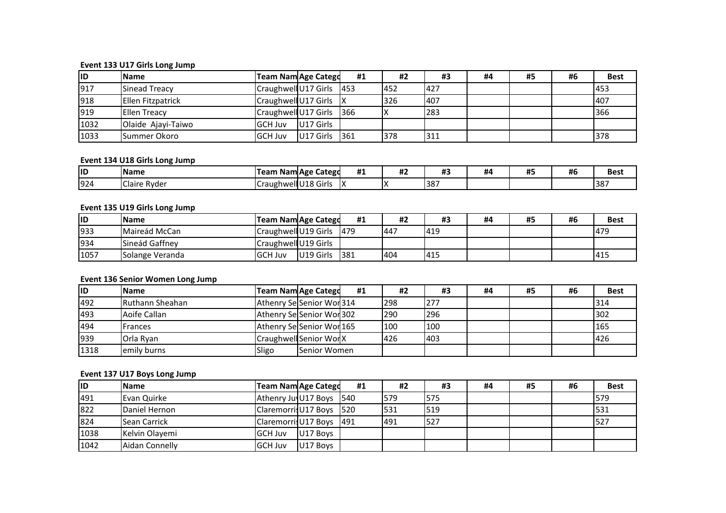### **Event 133 U17 Girls Long Jump**

| lid  | <b>Name</b>          | Team Nam Age Catego      |                          | #1 | #2   | #3  | #4 | #5 | #6 | <b>Best</b> |
|------|----------------------|--------------------------|--------------------------|----|------|-----|----|----|----|-------------|
| 917  | Sinead Treacy        | Craughwell U17 Girls 453 |                          |    | 1452 | 427 |    |    |    | 1453        |
| 918  | Ellen Fitzpatrick    |                          | Craughwell U17 Girls  X  |    | 326  | 407 |    |    |    | 407         |
| 919  | <b>Ellen Treacy</b>  |                          | Craughwell U17 Girls 366 |    |      | 283 |    |    |    | 366         |
| 1032 | Olaide Ajayi-Taiwo   | <b>GCH Juv</b>           | U17 Girls                |    |      |     |    |    |    |             |
| 1033 | <b>ISummer Okoro</b> | <b>IGCH Juv</b>          | <b>U17 Girls</b> 1361    |    | 378  | 311 |    |    |    | 1378        |

### **Event 134 U18 Girls Long Jump**

| ID  | <b>IName</b>              | - -<br>Team.    | ı NamlAge Categd         | #1                         | ,,,<br>π. | <br>. . | 410 | <br>π. | <br>πı | <b>Best</b> |
|-----|---------------------------|-----------------|--------------------------|----------------------------|-----------|---------|-----|--------|--------|-------------|
| 924 | $\sim$<br>Rvder<br>Claire | .raughwell<br>ັ | $\sim$<br>' Girls<br>U18 | $\mathbf{w}$<br>$\sqrt{ }$ |           | 387     |     |        |        | ിറ:<br>סכו  |

### **Event 135 U19 Girls Long Jump**

| lid  | <b>Name</b>           | <b>Team Nam Age Catego</b> |                       | #1         | #2  | #3   | #4 | #5 | #6 | <b>Best</b> |
|------|-----------------------|----------------------------|-----------------------|------------|-----|------|----|----|----|-------------|
| 933  | Maireád McCan         | Craughwell U19 Girls       |                       | <b>479</b> | 447 | 1419 |    |    |    | 1479        |
| 934  | <b>Sineád Gaffney</b> | Craughwell U19 Girls       |                       |            |     |      |    |    |    |             |
| 1057 | Solange Veranda       | <b>GCH Juv</b>             | U <sub>19</sub> Girls | 1381       | 404 | 415  |    |    |    | 1415        |

### **Event 136 Senior Women Long Jump**

| <b>ID</b> | <b>Name</b>     | Team Nam Age Categd       |                     | #1 | #2  | #3  | #4 | #5 | #6 | <b>Best</b> |
|-----------|-----------------|---------------------------|---------------------|----|-----|-----|----|----|----|-------------|
| 492       | Ruthann Sheahan | Athenry SelSenior Wor 314 |                     |    | 298 | 277 |    |    |    | 314         |
| 493       | Aoife Callan    | Athenry SelSenior Wor 302 |                     |    | 290 | 296 |    |    |    | 302         |
| 494       | <b>Frances</b>  | Athenry SelSenior Wor 165 |                     |    | 100 | 100 |    |    |    | 165         |
| 939       | Orla Rvan       | Craughwell Senior WorlX   |                     |    | 426 | 403 |    |    |    | 426         |
| 1318      | lemily burns    | Sligo                     | <b>Senior Women</b> |    |     |     |    |    |    |             |

### **Event 137 U17 Boys Long Jump**

| <b>IID</b> | <b>Name</b>    | Team Nam Age Catego      |          | #1 | #2  | #3  | #4 | #5 | #6 | <b>Best</b> |
|------------|----------------|--------------------------|----------|----|-----|-----|----|----|----|-------------|
| 491        | Evan Quirke    | Athenry Jul U17 Boys 540 |          |    | 579 | 575 |    |    |    | 579         |
| 822        | Daniel Hernon  | Claremorris U17 Boys 520 |          |    | 531 | 519 |    |    |    | 1531        |
| 824        | Sean Carrick   | Claremorris U17 Boys 491 |          |    | 491 | 527 |    |    |    | 527         |
| 1038       | Kelvin Olayemi | <b>IGCH Juv</b>          | U17 Boys |    |     |     |    |    |    |             |
| 1042       | Aidan Connelly | <b>IGCH Juv</b>          | U17 Boys |    |     |     |    |    |    |             |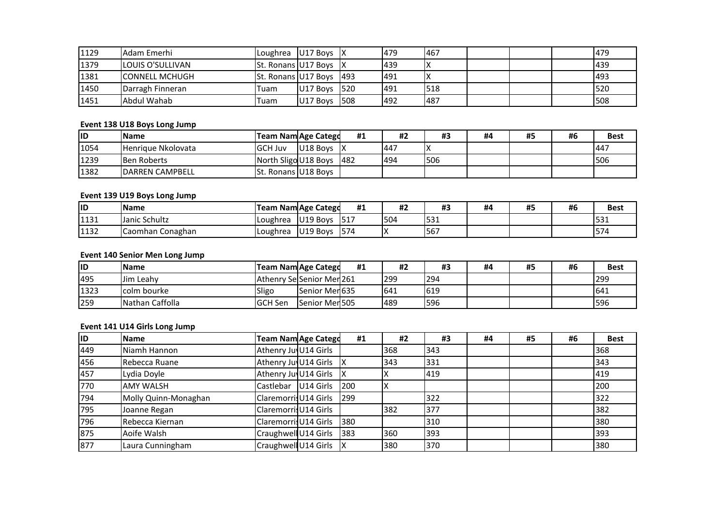| 1129 | <b>Adam Emerhi</b>       | <b>Loughrea</b>                 | $U17$ Boys $X$     | 479  | 467  |  | 1479 |
|------|--------------------------|---------------------------------|--------------------|------|------|--|------|
| 1379 | <b>ILOUIS O'SULLIVAN</b> | <b>St. Ronans U17 Boys X</b>    |                    | 439  |      |  | 1439 |
| 1381 | <b>ICONNELL MCHUGH</b>   | <b>St. Ronans U17 Boys</b> 1493 |                    | 1491 |      |  | 1493 |
| 1450 | Darragh Finneran         | Tuam                            | $ U17$ Boys $ 520$ | 491  | 518  |  | 520  |
| 1451 | Abdul Wahab              | Tuam                            | U17 Boys 508       | 492  | 1487 |  | 1508 |

# **Event 138 U18 Boys Long Jump**

| lid  | <b>Name</b>               | <b>Team Nam Age Catego</b>  |          | #1   | #2   | #3  | #4 | #5 | #6 | <b>Best</b> |
|------|---------------------------|-----------------------------|----------|------|------|-----|----|----|----|-------------|
| 1054 | <b>Henrique Nkolovata</b> | <b>GCH Juv</b>              | U18 Boys |      | 1447 |     |    |    |    | 447         |
| 1239 | <b>Ben Roberts</b>        | North Sligo U18 Boys        |          | 1482 | 494  | 506 |    |    |    | 1506        |
| 1382 | <b>IDARREN CAMPBELL</b>   | <b>ISt. Ronans U18 Boys</b> |          |      |      |     |    |    |    |             |

# **Event 139 U19 Boys Long Jump**

| lid  | <b>Name</b>          |                  | Team Nam Age Catego  | #1   | #2         | #3  | #4 | #5 | #6 | <b>Best</b> |
|------|----------------------|------------------|----------------------|------|------------|-----|----|----|----|-------------|
| 1131 | <b>Janic Schultz</b> | <b>ILoughrea</b> | U <sub>19</sub> Boys | 517  | <b>504</b> | 531 |    |    |    | 531         |
| 1132 | Caomhan Conaghan     | Loughrea         | U <sub>19</sub> Boys | 1574 |            | 567 |    |    |    | 574         |

# **Event 140 Senior Men Long Jump**

| lid  | <b>Name</b>         | <b>Team Nam Age Catego</b>        |                       | #1 | #2  | #3   | #4 | #5 | #6 | <b>Best</b> |
|------|---------------------|-----------------------------------|-----------------------|----|-----|------|----|----|----|-------------|
| 495  | Uim Leahv           | <b>IAthenry SelSenior Meri261</b> |                       |    | 299 | 294  |    |    |    | 299         |
| 1323 | <b>Icolm bourke</b> | Sligo                             | <b>Senior Mer1635</b> |    | 641 | 1619 |    |    |    | 641         |
| 259  | Nathan Caffolla     | <b>IGCH Sen</b>                   | <b>Senior Med505</b>  |    | 489 | 596  |    |    |    | 1596        |

# **Event 141 U14 Girls Long Jump**

| <b>ID</b> | <b>Name</b>          | <b>Team Nam Age Catego</b>   | #1  | #2  | #3  | #4 | #5 | #6 | <b>Best</b> |
|-----------|----------------------|------------------------------|-----|-----|-----|----|----|----|-------------|
| 449       | Niamh Hannon         | Athenry Ju U14 Girls         |     | 368 | 343 |    |    |    | 368         |
| 456       | Rebecca Ruane        | Athenry Jul U14 Girls        |     | 343 | 331 |    |    |    | 343         |
| 457       | Lydia Doyle          | Athenry Jul U14 Girls        |     |     | 419 |    |    |    | 419         |
| 770       | <b>AMY WALSH</b>     | Castlebar U14 Girls          | 200 |     |     |    |    |    | 200         |
| 794       | Molly Quinn-Monaghan | <b>Claremorris U14 Girls</b> | 299 |     | 322 |    |    |    | 322         |
| 795       | Joanne Regan         | Claremorris U14 Girls        |     | 382 | 377 |    |    |    | 382         |
| 796       | Rebecca Kiernan      | Claremorris U14 Girls        | 380 |     | 310 |    |    |    | 380         |
| 875       | Aoife Walsh          | Craughwell U14 Girls         | 383 | 360 | 393 |    |    |    | 393         |
| 877       | Laura Cunningham     | Craughwell U14 Girls         |     | 380 | 370 |    |    |    | 380         |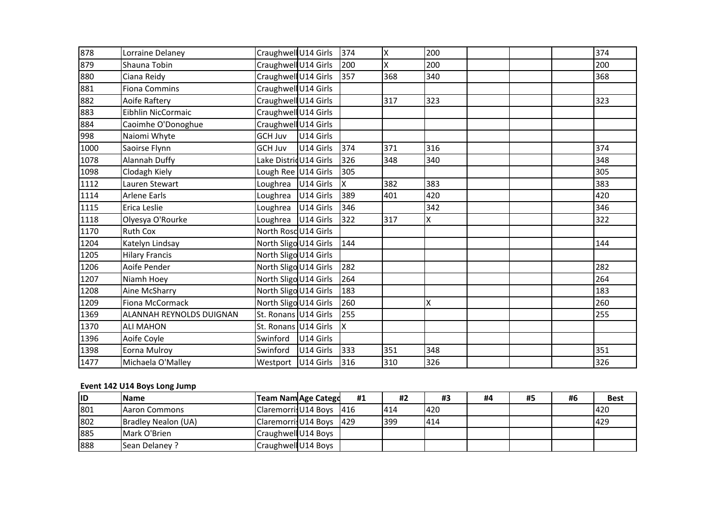| 878  | Lorraine Delaney         | Craughwell U14 Girls  |           | 374 | Χ   | 200 | 374 |
|------|--------------------------|-----------------------|-----------|-----|-----|-----|-----|
| 879  | Shauna Tobin             | Craughwell U14 Girls  |           | 200 | Χ   | 200 | 200 |
| 880  | Ciana Reidy              | Craughwell U14 Girls  |           | 357 | 368 | 340 | 368 |
| 881  | <b>Fiona Commins</b>     | Craughwell U14 Girls  |           |     |     |     |     |
| 882  | Aoife Raftery            | Craughwell U14 Girls  |           |     | 317 | 323 | 323 |
| 883  | Eibhlin NicCormaic       | Craughwell U14 Girls  |           |     |     |     |     |
| 884  | Caoimhe O'Donoghue       | Craughwell U14 Girls  |           |     |     |     |     |
| 998  | Naiomi Whyte             | <b>GCH Juv</b>        | U14 Girls |     |     |     |     |
| 1000 | Saoirse Flynn            | <b>GCH Juv</b>        | U14 Girls | 374 | 371 | 316 | 374 |
| 1078 | Alannah Duffy            | Lake DistridU14 Girls |           | 326 | 348 | 340 | 348 |
| 1098 | Clodagh Kiely            | Lough Ree U14 Girls   |           | 305 |     |     | 305 |
| 1112 | Lauren Stewart           | Loughrea              | U14 Girls | X   | 382 | 383 | 383 |
| 1114 | <b>Arlene Earls</b>      | Loughrea              | U14 Girls | 389 | 401 | 420 | 420 |
| 1115 | Erica Leslie             | Loughrea              | U14 Girls | 346 |     | 342 | 346 |
| 1118 | Olyesya O'Rourke         | Loughrea              | U14 Girls | 322 | 317 | Χ   | 322 |
| 1170 | <b>Ruth Cox</b>          | North Rosc U14 Girls  |           |     |     |     |     |
| 1204 | Katelyn Lindsay          | North Sligo U14 Girls |           | 144 |     |     | 144 |
| 1205 | <b>Hilary Francis</b>    | North Sligo U14 Girls |           |     |     |     |     |
| 1206 | Aoife Pender             | North Sligo U14 Girls |           | 282 |     |     | 282 |
| 1207 | Niamh Hoey               | North Sligo U14 Girls |           | 264 |     |     | 264 |
| 1208 | Aine McSharry            | North Sligo U14 Girls |           | 183 |     |     | 183 |
| 1209 | Fiona McCormack          | North Sligo U14 Girls |           | 260 |     | X   | 260 |
| 1369 | ALANNAH REYNOLDS DUIGNAN | St. Ronans U14 Girls  |           | 255 |     |     | 255 |
| 1370 | <b>ALI MAHON</b>         | St. Ronans U14 Girls  |           | Ιx  |     |     |     |
| 1396 | Aoife Coyle              | Swinford              | U14 Girls |     |     |     |     |
| 1398 | Eorna Mulroy             | Swinford              | U14 Girls | 333 | 351 | 348 | 351 |
| 1477 | Michaela O'Malley        | Westport U14 Girls    |           | 316 | 310 | 326 | 326 |

# **Event 142 U14 Boys Long Jump**

| lid | <b>Name</b>          | <b>Team Nam Age Catego</b> | #1 | #2  | #3  | #4 | #5 | #6 | <b>Best</b> |
|-----|----------------------|----------------------------|----|-----|-----|----|----|----|-------------|
| 801 | <b>Aaron Commons</b> | Claremorris U14 Boys   416 |    | 414 | 420 |    |    |    | 1420        |
| 802 | Bradley Nealon (UA)  | Claremorris U14 Boys   429 |    | 399 | 414 |    |    |    | <b>1429</b> |
| 885 | Mark O'Brien         | Craughwell U14 Boys        |    |     |     |    |    |    |             |
| 888 | <b>Sean Delaney?</b> | Craughwell U14 Boys        |    |     |     |    |    |    |             |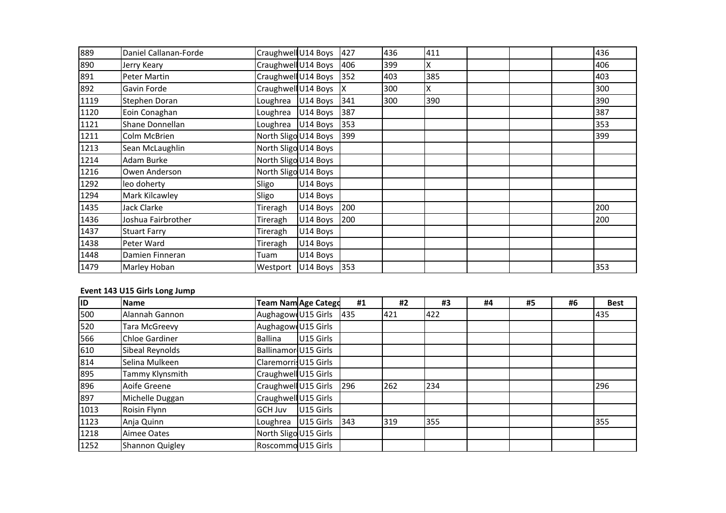| 889  | Daniel Callanan-Forde | Craughwell U14 Boys  |          | 427 | 436 | 411 |  | 436 |
|------|-----------------------|----------------------|----------|-----|-----|-----|--|-----|
| 890  | Jerry Keary           | Craughwell U14 Boys  |          | 406 | 399 | Χ   |  | 406 |
| 891  | Peter Martin          | Craughwell U14 Boys  |          | 352 | 403 | 385 |  | 403 |
| 892  | Gavin Forde           | Craughwell U14 Boys  |          |     | 300 | X   |  | 300 |
| 1119 | Stephen Doran         | Loughrea             | U14 Boys | 341 | 300 | 390 |  | 390 |
| 1120 | Eoin Conaghan         | Loughrea             | U14 Boys | 387 |     |     |  | 387 |
| 1121 | Shane Donnellan       | Loughrea             | U14 Boys | 353 |     |     |  | 353 |
| 1211 | Colm McBrien          | North Sligo U14 Boys |          | 399 |     |     |  | 399 |
| 1213 | Sean McLaughlin       | North Sligo U14 Boys |          |     |     |     |  |     |
| 1214 | Adam Burke            | North Sligo U14 Boys |          |     |     |     |  |     |
| 1216 | Owen Anderson         | North Sligo U14 Boys |          |     |     |     |  |     |
| 1292 | leo doherty           | Sligo                | U14 Boys |     |     |     |  |     |
| 1294 | Mark Kilcawley        | Sligo                | U14 Boys |     |     |     |  |     |
| 1435 | Jack Clarke           | Tireragh             | U14 Boys | 200 |     |     |  | 200 |
| 1436 | Joshua Fairbrother    | Tireragh             | U14 Boys | 200 |     |     |  | 200 |
| 1437 | <b>Stuart Farry</b>   | Tireragh             | U14 Boys |     |     |     |  |     |
| 1438 | Peter Ward            | Tireragh             | U14 Boys |     |     |     |  |     |
| 1448 | Damien Finneran       | Tuam                 | U14 Boys |     |     |     |  |     |
| 1479 | Marley Hoban          | Westport             | U14 Boys | 353 |     |     |  | 353 |

# **Event 143 U15 Girls Long Jump**

| ID   | <b>Name</b>            | Team Nam Age Catego   |           | #1  | #2  | #3  | #4 | #5 | #6 | <b>Best</b> |
|------|------------------------|-----------------------|-----------|-----|-----|-----|----|----|----|-------------|
| 500  | Alannah Gannon         | Aughagowe U15 Girls   |           | 435 | 421 | 422 |    |    |    | 435         |
| 520  | Tara McGreevy          | Aughagow U15 Girls    |           |     |     |     |    |    |    |             |
| 566  | Chloe Gardiner         | <b>Ballina</b>        | U15 Girls |     |     |     |    |    |    |             |
| 610  | Sibeal Reynolds        | Ballinamor U15 Girls  |           |     |     |     |    |    |    |             |
| 814  | Selina Mulkeen         | Claremorris U15 Girls |           |     |     |     |    |    |    |             |
| 895  | Tammy Klynsmith        | Craughwell U15 Girls  |           |     |     |     |    |    |    |             |
| 896  | Aoife Greene           | Craughwell U15 Girls  |           | 296 | 262 | 234 |    |    |    | 296         |
| 897  | Michelle Duggan        | Craughwell U15 Girls  |           |     |     |     |    |    |    |             |
| 1013 | Roisin Flynn           | <b>IGCH Juv</b>       | U15 Girls |     |     |     |    |    |    |             |
| 1123 | Anja Quinn             | Loughrea              | U15 Girls | 343 | 319 | 355 |    |    |    | 355         |
| 1218 | Aimee Oates            | North Sligo U15 Girls |           |     |     |     |    |    |    |             |
| 1252 | <b>Shannon Quigley</b> | Roscommo U15 Girls    |           |     |     |     |    |    |    |             |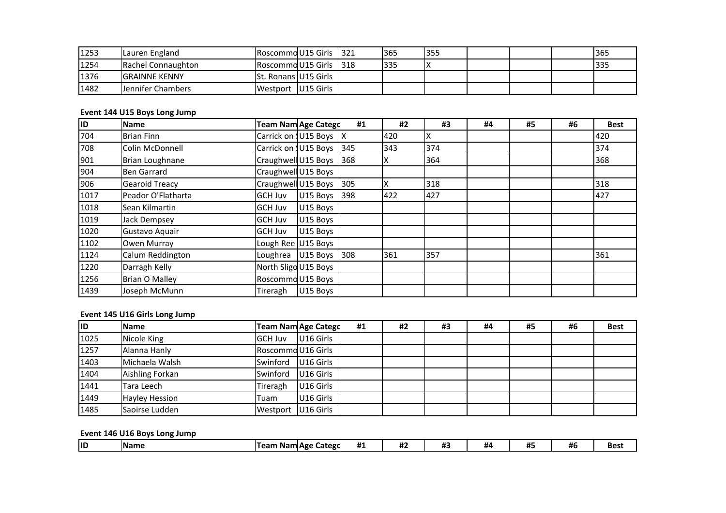| 1253 | Lauren England        | <b>Roscommo U15 Girls</b> 1321  |  | 365  | 355 |  | 1365 |
|------|-----------------------|---------------------------------|--|------|-----|--|------|
| 1254 | Rachel Connaughton    | <b>IRoscommo U15 Girls</b> 1318 |  | 1335 |     |  | 335  |
| 1376 | <b>IGRAINNE KENNY</b> | <b>St. Ronans U15 Girls</b>     |  |      |     |  |      |
| 1482 | Jennifer Chambers     | Westport U15 Girls              |  |      |     |  |      |

### **Event 144 U15 Boys Long Jump**

| ID   | <b>Name</b>           |                      | Team Nam Age Catego     | #1  | #2  | #3  | #4 | #5 | #6 | <b>Best</b> |
|------|-----------------------|----------------------|-------------------------|-----|-----|-----|----|----|----|-------------|
| 704  | <b>Brian Finn</b>     |                      | Carrick on 1U15 Boys  X |     | 420 |     |    |    |    | 420         |
| 708  | Colin McDonnell       | Carrick on 1U15 Boys |                         | 345 | 343 | 374 |    |    |    | 374         |
| 901  | Brian Loughnane       |                      | Craughwell U15 Boys     | 368 |     | 364 |    |    |    | 368         |
| 904  | <b>Ben Garrard</b>    |                      | Craughwell U15 Boys     |     |     |     |    |    |    |             |
| 906  | <b>Gearoid Treacy</b> | Craughwell U15 Boys  |                         | 305 |     | 318 |    |    |    | 318         |
| 1017 | Peador O'Flatharta    | <b>GCH Juv</b>       | U15 Boys                | 398 | 422 | 427 |    |    |    | 427         |
| 1018 | Sean Kilmartin        | <b>GCH Juv</b>       | U15 Boys                |     |     |     |    |    |    |             |
| 1019 | Jack Dempsey          | <b>GCH Juv</b>       | U15 Boys                |     |     |     |    |    |    |             |
| 1020 | Gustavo Aquair        | <b>GCH Juv</b>       | U15 Boys                |     |     |     |    |    |    |             |
| 1102 | Owen Murray           |                      | Lough Ree U15 Boys      |     |     |     |    |    |    |             |
| 1124 | Calum Reddington      |                      | Loughrea U15 Boys       | 308 | 361 | 357 |    |    |    | 361         |
| 1220 | Darragh Kelly         | North Sligo U15 Boys |                         |     |     |     |    |    |    |             |
| 1256 | <b>Brian O Malley</b> | Roscommo U15 Boys    |                         |     |     |     |    |    |    |             |
| 1439 | Joseph McMunn         | Tireragh             | U15 Boys                |     |     |     |    |    |    |             |

# **Event 145 U16 Girls Long Jump**

| <b>ID</b> | <b>Name</b>           |                    | <b>Team Nam Age Categd</b> | #1 | #2 | #3 | #4 | #5 | #6 | <b>Best</b> |
|-----------|-----------------------|--------------------|----------------------------|----|----|----|----|----|----|-------------|
| 1025      | Nicole King           | <b>GCH Juv</b>     | U <sub>16</sub> Girls      |    |    |    |    |    |    |             |
| 1257      | Alanna Hanly          | Roscommo U16 Girls |                            |    |    |    |    |    |    |             |
| 1403      | Michaela Walsh        | Swinford           | U <sub>16</sub> Girls      |    |    |    |    |    |    |             |
| 1404      | Aishling Forkan       | Swinford           | U16 Girls                  |    |    |    |    |    |    |             |
| 1441      | Tara Leech            | Tireragh           | U <sub>16</sub> Girls      |    |    |    |    |    |    |             |
| 1449      | <b>Hayley Hession</b> | Tuam               | U16 Girls                  |    |    |    |    |    |    |             |
| 1485      | Saoirse Ludden        | Westport           | U16 Girls                  |    |    |    |    |    |    |             |

#### **Event 146 U16 Boys Long Jump**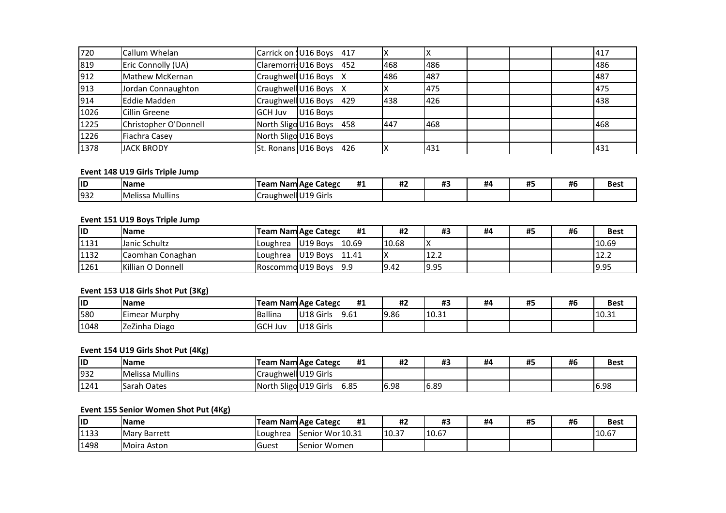| 720  | Callum Whelan         | Carrick on 1U16 Boys  |          | 417        |     |     | 417 |  |
|------|-----------------------|-----------------------|----------|------------|-----|-----|-----|--|
| 819  | Eric Connolly (UA)    | Claremorris U16 Boys  |          | 452        | 468 | 486 | 486 |  |
| 912  | Mathew McKernan       | Craughwell U16 Boys X |          |            | 486 | 487 | 487 |  |
| 913  | Jordan Connaughton    | Craughwell U16 Boys X |          |            |     | 475 | 475 |  |
| 914  | Eddie Madden          | Craughwell U16 Boys   |          | <b>429</b> | 438 | 426 | 438 |  |
| 1026 | <b>Cillin Greene</b>  | <b>GCH Juv</b>        | U16 Boys |            |     |     |     |  |
| 1225 | Christopher O'Donnell | North Sligo U16 Boys  |          | 458        | 447 | 468 | 468 |  |
| 1226 | Fiachra Casey         | North Sligo U16 Boys  |          |            |     |     |     |  |
| 1378 | <b>JACK BRODY</b>     | St. Ronans U16 Boys   |          | 1426       |     | 431 | 431 |  |

# **Event 148 U19 Girls Triple Jump**

| lid | <b>IName</b>           | $ -$<br>Team    | <b>I Nam Age Catego</b>        | #1 | $\overline{\phantom{a}}$<br>πΖ | <br>" | #4 | ,,,<br>н. | <br>Пt | <b>Best</b> |
|-----|------------------------|-----------------|--------------------------------|----|--------------------------------|-------|----|-----------|--------|-------------|
| 932 | <b>Melissa Mullins</b> | .raughwell<br>ັ | $\sim$<br>.14C<br>' Girls<br>. |    |                                |       |    |           |        |             |

# **Event 151 U19 Boys Triple Jump**

| lid  | <b>Name</b>               | <b>Team Nam Age Catego</b> |                      | #1   | #2    | #3   | #4 | #5 | #6 | <b>Best</b> |
|------|---------------------------|----------------------------|----------------------|------|-------|------|----|----|----|-------------|
| 1131 | Janic Schultz             | <b>I</b> Loughrea          | $U19$ Boys $10.69$   |      | 10.68 |      |    |    |    | 10.69       |
| 1132 | Caomhan Conaghan          | Loughrea                   | $ U19$ Bovs $ 11.41$ |      |       | 12.2 |    |    |    | 12.2        |
| 1261 | <b>IKillian O Donnell</b> | Roscommo U19 Boys          |                      | 19.9 | 9.42  | 9.95 |    |    |    | 9.95        |

# **Event 153 U18 Girls Shot Put (3Kg)**

| ID   | <b>Name</b>   |                | <b>Team Nam Age Catego</b> | #1   | #2   | #3    | #4 | ĦЕ<br>π., | #6 | <b>Best</b> |
|------|---------------|----------------|----------------------------|------|------|-------|----|-----------|----|-------------|
| 580  | Eimear Murphy | <b>Ballina</b> | U18 Girls                  | 9.61 | 9.86 | 10.31 |    |           |    | 10.31       |
| 1048 | ZeZinha Diago | <b>GCH Juv</b> | U18 Girls                  |      |      |       |    |           |    |             |

# **Event 154 U19 Girls Shot Put (4Kg)**

| ID   | <b>IName</b>    | Team Nam Age Catego   | #1   | <br>Ħ۷ | #2<br>ாச | #4 | #. | #6 | <b>Best</b> |
|------|-----------------|-----------------------|------|--------|----------|----|----|----|-------------|
| 932  | Melissa Mullins | Craughwell U19 Girls  |      |        |          |    |    |    |             |
| 1241 | Sarah Oates     | North Sligo U19 Girls | 6.85 | 6.98   | 6.89     |    |    |    | 6.98        |

# **Event 155 Senior Women Shot Put (4Kg)**

| lid  | <b>Name</b>         |                 | <b>Team Nam Age Catego</b> | #1 | <br>Æ۷ | #3    | #4 | #5 | #6 | <b>Best</b> |
|------|---------------------|-----------------|----------------------------|----|--------|-------|----|----|----|-------------|
| 1133 | <b>Mary Barrett</b> | <b>Loughrea</b> | Senior Worl 10.31          |    | 10.37  | 10.67 |    |    |    | 110.67      |
| 1498 | Moira Aston         | Guest           | Senior Women               |    |        |       |    |    |    |             |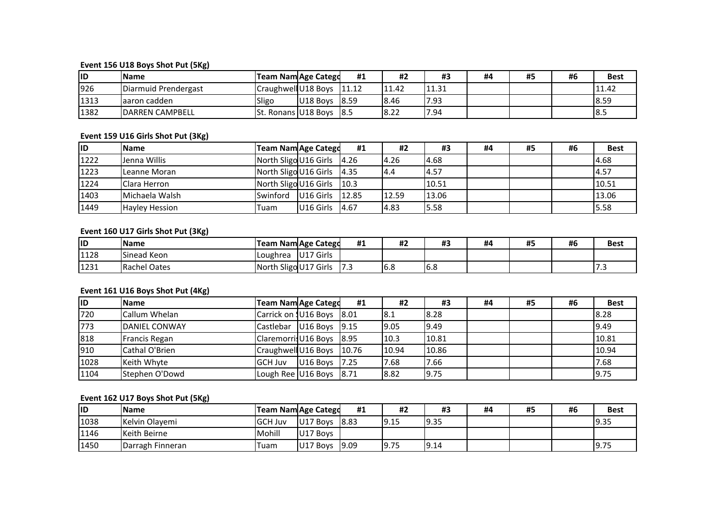# **Event 156 U18 Boys Shot Put (5Kg)**

| lid  | <b>Name</b>             | <b>Team Nam Age Catego</b>  |          | #1     | #2    | #3    | #4 | #5 | #6 | <b>Best</b> |
|------|-------------------------|-----------------------------|----------|--------|-------|-------|----|----|----|-------------|
| 926  | Diarmuid Prendergast    | Craughwell U18 Boys   11.12 |          |        | 11.42 | 11.31 |    |    |    | 11.42       |
| 1313 | laaron cadden           | Sligo                       | U18 Bovs | 8.59   | 8.46  | 7.93  |    |    |    | 8.59        |
| 1382 | <b>IDARREN CAMPBELL</b> | St. Ronans U18 Boys         |          | - 18.5 | 8.22  | 7.94  |    |    |    | 18.5        |

### **Event 159 U16 Girls Shot Put (3Kg)**

| liD  | <b>IName</b>          | <b>Team Nam Age Catego</b>   |                             | #1   | #2         | #3    | #4 | #5 | #6 | <b>Best</b> |
|------|-----------------------|------------------------------|-----------------------------|------|------------|-------|----|----|----|-------------|
| 1222 | <b>Jenna Willis</b>   | North Sligo U16 Girls 4.26   |                             |      | 4.26       | 4.68  |    |    |    | 4.68        |
| 1223 | Leanne Moran          | North Sligo U16 Girls 4.35   |                             |      | <b>4.4</b> | 4.57  |    |    |    | 4.57        |
| 1224 | <b>Clara Herron</b>   | North Sligo U16 Girls   10.3 |                             |      |            | 10.51 |    |    |    | 10.51       |
| 1403 | Michaela Walsh        | Swinford                     | U <sub>16</sub> Girls 12.85 |      | 12.59      | 13.06 |    |    |    | 13.06       |
| 1449 | <b>Hayley Hession</b> | Tuam                         | U16 Girls                   | 4.67 | 4.83       | 5.58  |    |    |    | 5.58        |

# **Event 160 U17 Girls Shot Put (3Kg)**

| lid  | <b>Name</b>         | <b>Team Nam Age Catego</b> |                       | #1           | #2   | <br>πs | #4 | #5 | #6 | <b>Best</b> |
|------|---------------------|----------------------------|-----------------------|--------------|------|--------|----|----|----|-------------|
| 1128 | <b>Sinead Keon</b>  | <b>ILoughrea</b>           | U <sub>17</sub> Girls |              |      |        |    |    |    |             |
| 1231 | <b>Rachel Oates</b> | North Sligo U17 Girls      |                       | ר דו<br>11.3 | 16.8 | 6.8    |    |    |    | .           |

# **Event 161 U16 Boys Shot Put (4Kg)**

| <b>ID</b> | <b>Name</b>          | Team Nam Age Catego         |               | #1 | #2    | #3    | #4 | #5 | #6 | <b>Best</b> |
|-----------|----------------------|-----------------------------|---------------|----|-------|-------|----|----|----|-------------|
| 720       | Callum Whelan        | Carrick on 1U16 Boys 8.01   |               |    | 18.1  | 8.28  |    |    |    | 8.28        |
| 773       | <b>DANIEL CONWAY</b> | Castlebar U16 Boys 9.15     |               |    | 9.05  | 9.49  |    |    |    | 9.49        |
| 818       | Francis Regan        | Claremorris U16 Boys 8.95   |               |    | 10.3  | 10.81 |    |    |    | 10.81       |
| 910       | Cathal O'Brien       | Craughwell U16 Boys   10.76 |               |    | 10.94 | 10.86 |    |    |    | 10.94       |
| 1028      | Keith Whyte          | <b>GCH Juv</b>              | U16 Boys 7.25 |    | 7.68  | 7.66  |    |    |    | 7.68        |
| 1104      | Stephen O'Dowd       | Lough Ree U16 Boys 8.71     |               |    | 8.82  | 9.75  |    |    |    | 9.75        |

# **Event 162 U17 Boys Shot Put (5Kg)**

| lid  | <b>Name</b>      | <b>Team Nam Age Catego</b> |          | #1          | #2   | #3    | #4 | #5 | #6 | <b>Best</b> |
|------|------------------|----------------------------|----------|-------------|------|-------|----|----|----|-------------|
| 1038 | Kelvin Olayemi   | <b>GCH Juv</b>             | U17 Boys | <b>8.83</b> | 9.15 | 9.35  |    |    |    | 9.35        |
| 1146 | Keith Beirne     | Mohill                     | U17 Boys |             |      |       |    |    |    |             |
| 1450 | Darragh Finneran | Tuam                       | U17 Boys | 19.09       | 9.75 | 19.14 |    |    |    | 9.75        |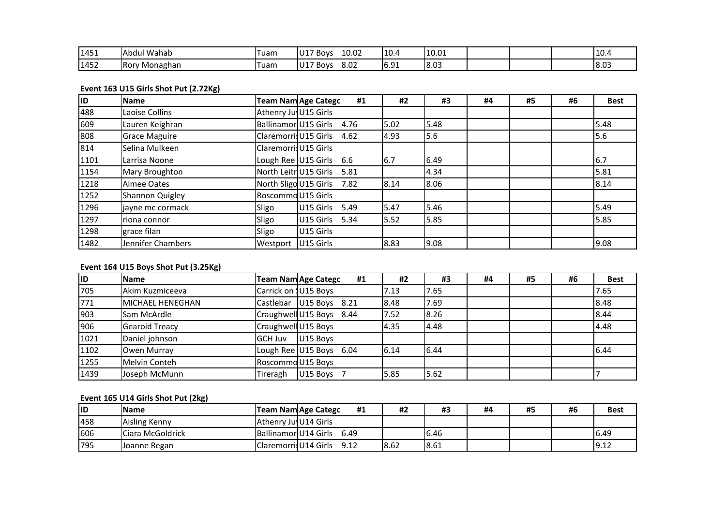| 1451 | $\sim$<br>Wahab<br>lAbdul | uam: | U17 Bovs | 10.02 | 10.4 | 10.01 |  | 10.  |
|------|---------------------------|------|----------|-------|------|-------|--|------|
| 1452 | Ror<br>√ Monaghan         | uam  | U17 Boys | 18.02 | 6.91 | 8.03  |  | 8.03 |

# **Event 163 U15 Girls Shot Put (2.72Kg)**

| <b>ID</b> | <b>Name</b>            |                             | <b>Team Nam Age Catego</b> | #1   | #2   | #3   | #4 | #5 | #6 | <b>Best</b> |
|-----------|------------------------|-----------------------------|----------------------------|------|------|------|----|----|----|-------------|
| 488       | Laoise Collins         | Athenry Ju U15 Girls        |                            |      |      |      |    |    |    |             |
| 609       | Lauren Keighran        | <b>Ballinamor U15 Girls</b> |                            | 4.76 | 5.02 | 5.48 |    |    |    | 5.48        |
| 808       | <b>Grace Maguire</b>   | Claremorris U15 Girls       |                            | 4.62 | 4.93 | 5.6  |    |    |    | 5.6         |
| 814       | Selina Mulkeen         | Claremorris U15 Girls       |                            |      |      |      |    |    |    |             |
| 1101      | Larrisa Noone          | Lough Ree U15 Girls         |                            | 6.6  | 6.7  | 6.49 |    |    |    | 6.7         |
| 1154      | <b>Mary Broughton</b>  | North Leitr U15 Girls       |                            | 5.81 |      | 4.34 |    |    |    | 5.81        |
| 1218      | Aimee Oates            | North Sligo U15 Girls       |                            | 7.82 | 8.14 | 8.06 |    |    |    | 8.14        |
| 1252      | <b>Shannon Quigley</b> | Roscommo U15 Girls          |                            |      |      |      |    |    |    |             |
| 1296      | jayne mc cormack       | Sligo                       | U15 Girls                  | 5.49 | 5.47 | 5.46 |    |    |    | 5.49        |
| 1297      | riona connor           | Sligo                       | U15 Girls                  | 5.34 | 5.52 | 5.85 |    |    |    | 5.85        |
| 1298      | grace filan            | Sligo                       | U15 Girls                  |      |      |      |    |    |    |             |
| 1482      | Jennifer Chambers      | Westport                    | U15 Girls                  |      | 8.83 | 9.08 |    |    |    | 9.08        |

# **Event 164 U15 Boys Shot Put (3.25Kg)**

| <b>ID</b> | <b>Name</b>           |                         | <b>Team Nam Age Catego</b> | #1   | #2   | #3   | #4 | #5 | #6 | <b>Best</b> |
|-----------|-----------------------|-------------------------|----------------------------|------|------|------|----|----|----|-------------|
| 705       | Akim Kuzmiceeva       | Carrick on 1U15 Boys    |                            |      | 7.13 | 7.65 |    |    |    | 7.65        |
| 771       | MICHAEL HENEGHAN      | Castlebar U15 Boys 8.21 |                            |      | 8.48 | 7.69 |    |    |    | 8.48        |
| 903       | Sam McArdle           | Craughwell U15 Boys     |                            | 8.44 | 7.52 | 8.26 |    |    |    | 8.44        |
| 906       | <b>Gearoid Treacy</b> | Craughwell U15 Boys     |                            |      | 4.35 | 4.48 |    |    |    | 4.48        |
| 1021      | Daniel johnson        | <b>GCH Juv</b>          | U15 Boys                   |      |      |      |    |    |    |             |
| 1102      | Owen Murray           | Lough Ree U15 Boys      |                            | 6.04 | 6.14 | 6.44 |    |    |    | 6.44        |
| 1255      | <b>Melvin Conteh</b>  | Roscommo U15 Boys       |                            |      |      |      |    |    |    |             |
| 1439      | Joseph McMunn         | Tireragh                | U15 Boys                   |      | 5.85 | 5.62 |    |    |    |             |

# **Event 165 U14 Girls Shot Put (2kg)**

| lid | <b>Name</b>      | <b>Team Nam Age Catego</b>      | #1    | #2   | #3   | #4 | 出口 | #6 | <b>Best</b> |
|-----|------------------|---------------------------------|-------|------|------|----|----|----|-------------|
| 458 | Aisling Kenny    | Athenry Jul U14 Girls           |       |      |      |    |    |    |             |
| 606 | Ciara McGoldrick | Ballinamor <sub>U14</sub> Girls | 16.49 |      | 6.46 |    |    |    | 16.49       |
| 795 | Joanne Regan     | Claremorris U14 Girls           | 19.12 | 8.62 | 8.61 |    |    |    | 19.12       |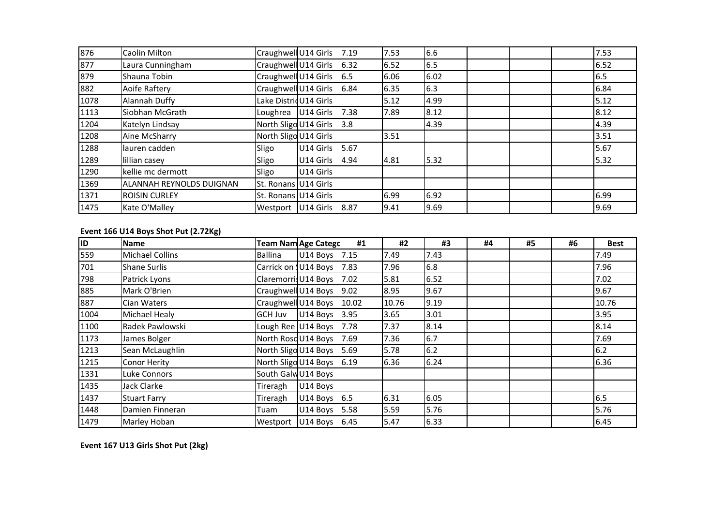| 876  | Caolin Milton                   | Craughwell U14 Girls   |           | 7.19 | 7.53 | 6.6  |  | 7.53 |
|------|---------------------------------|------------------------|-----------|------|------|------|--|------|
| 877  | Laura Cunningham                | Craughwell U14 Girls   |           | 6.32 | 6.52 | 6.5  |  | 6.52 |
| 879  | Shauna Tobin                    | Craughwell U14 Girls   |           | 6.5  | 6.06 | 6.02 |  | 6.5  |
| 882  | Aoife Raftery                   | Craughwell U14 Girls   |           | 6.84 | 6.35 | 6.3  |  | 6.84 |
| 1078 | Alannah Duffy                   | Lake Distrid U14 Girls |           |      | 5.12 | 4.99 |  | 5.12 |
| 1113 | Siobhan McGrath                 | Loughrea U14 Girls     |           | 7.38 | 7.89 | 8.12 |  | 8.12 |
| 1204 | Katelyn Lindsay                 | North Sligo U14 Girls  |           | 3.8  |      | 4.39 |  | 4.39 |
| 1208 | Aine McSharry                   | North Sligo U14 Girls  |           |      | 3.51 |      |  | 3.51 |
| 1288 | lauren cadden                   | Sligo                  | U14 Girls | 5.67 |      |      |  | 5.67 |
| 1289 | lillian casey                   | Sligo                  | U14 Girls | 4.94 | 4.81 | 5.32 |  | 5.32 |
| 1290 | kellie mc dermott               | Sligo                  | U14 Girls |      |      |      |  |      |
| 1369 | <b>ALANNAH REYNOLDS DUIGNAN</b> | St. Ronans U14 Girls   |           |      |      |      |  |      |
| 1371 | <b>ROISIN CURLEY</b>            | St. Ronans U14 Girls   |           |      | 6.99 | 6.92 |  | 6.99 |
| 1475 | Kate O'Malley                   | Westport U14 Girls     |           | 8.87 | 9.41 | 9.69 |  | 9.69 |

# **Event 166 U14 Boys Shot Put (2.72Kg)**

| ID   | <b>Name</b>            | <b>Team Nam Age Categd</b> |          | #1    | #2    | #3   | #4 | #5 | #6 | <b>Best</b> |
|------|------------------------|----------------------------|----------|-------|-------|------|----|----|----|-------------|
| 559  | <b>Michael Collins</b> | Ballina                    | U14 Boys | 7.15  | 7.49  | 7.43 |    |    |    | 7.49        |
| 701  | <b>Shane Surlis</b>    | Carrick on 1U14 Boys       |          | 7.83  | 7.96  | 6.8  |    |    |    | 7.96        |
| 798  | Patrick Lyons          | Claremorris U14 Boys       |          | 7.02  | 5.81  | 6.52 |    |    |    | 7.02        |
| 885  | Mark O'Brien           | Craughwell U14 Boys        |          | 9.02  | 8.95  | 9.67 |    |    |    | 9.67        |
| 887  | Cian Waters            | Craughwell U14 Boys        |          | 10.02 | 10.76 | 9.19 |    |    |    | 10.76       |
| 1004 | Michael Healy          | <b>GCH Juv</b>             | U14 Boys | 3.95  | 3.65  | 3.01 |    |    |    | 3.95        |
| 1100 | Radek Pawlowski        | Lough Ree U14 Boys         |          | 7.78  | 7.37  | 8.14 |    |    |    | 8.14        |
| 1173 | James Bolger           | North Rosc U14 Boys        |          | 7.69  | 7.36  | 6.7  |    |    |    | 7.69        |
| 1213 | Sean McLaughlin        | North Sligo U14 Boys       |          | 5.69  | 5.78  | 6.2  |    |    |    | $6.2$       |
| 1215 | <b>Conor Herity</b>    | North Sligo U14 Boys 6.19  |          |       | 6.36  | 6.24 |    |    |    | 6.36        |
| 1331 | Luke Connors           | South Galw U14 Boys        |          |       |       |      |    |    |    |             |
| 1435 | Jack Clarke            | Tireragh                   | U14 Boys |       |       |      |    |    |    |             |
| 1437 | <b>Stuart Farry</b>    | Tireragh                   | U14 Boys | 6.5   | 6.31  | 6.05 |    |    |    | 6.5         |
| 1448 | Damien Finneran        | Tuam                       | U14 Boys | 5.58  | 5.59  | 5.76 |    |    |    | 5.76        |
| 1479 | Marley Hoban           | Westport                   | U14 Boys | 6.45  | 5.47  | 6.33 |    |    |    | 6.45        |

**Event 167 U13 Girls Shot Put (2kg)**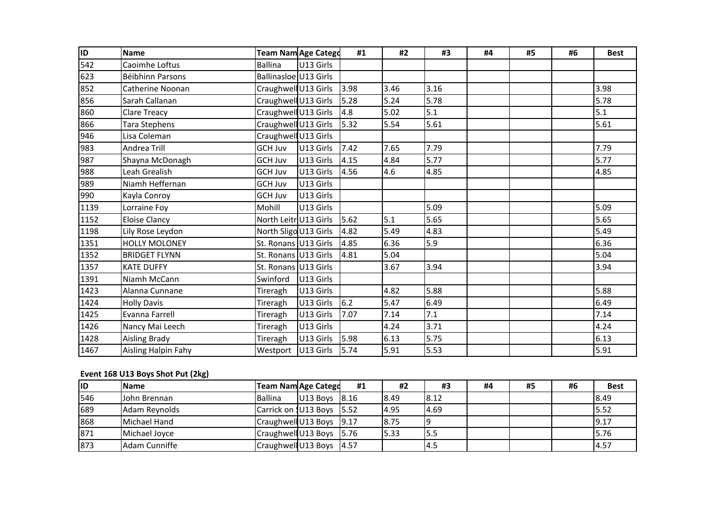| ID   | <b>Name</b>             |                       | Team Nam Age Catego | #1   | #2   | #3   | #4 | #5 | #6 | <b>Best</b> |
|------|-------------------------|-----------------------|---------------------|------|------|------|----|----|----|-------------|
| 542  | Caoimhe Loftus          | <b>Ballina</b>        | U13 Girls           |      |      |      |    |    |    |             |
| 623  | <b>Béibhinn Parsons</b> | Ballinasloe U13 Girls |                     |      |      |      |    |    |    |             |
| 852  | Catherine Noonan        | Craughwell U13 Girls  |                     | 3.98 | 3.46 | 3.16 |    |    |    | 3.98        |
| 856  | Sarah Callanan          | Craughwell U13 Girls  |                     | 5.28 | 5.24 | 5.78 |    |    |    | 5.78        |
| 860  | Clare Treacy            | Craughwell U13 Girls  |                     | 4.8  | 5.02 | 5.1  |    |    |    | 5.1         |
| 866  | Tara Stephens           | Craughwell U13 Girls  |                     | 5.32 | 5.54 | 5.61 |    |    |    | 5.61        |
| 946  | Lisa Coleman            | Craughwell U13 Girls  |                     |      |      |      |    |    |    |             |
| 983  | Andrea Trill            | <b>GCH Juv</b>        | U13 Girls           | 7.42 | 7.65 | 7.79 |    |    |    | 7.79        |
| 987  | Shayna McDonagh         | <b>GCH Juv</b>        | U13 Girls           | 4.15 | 4.84 | 5.77 |    |    |    | 5.77        |
| 988  | Leah Grealish           | GCH Juv               | U13 Girls           | 4.56 | 4.6  | 4.85 |    |    |    | 4.85        |
| 989  | Niamh Heffernan         | GCH Juv               | U13 Girls           |      |      |      |    |    |    |             |
| 990  | Kayla Conroy            | GCH Juv               | U13 Girls           |      |      |      |    |    |    |             |
| 1139 | Lorraine Foy            | Mohill                | U13 Girls           |      |      | 5.09 |    |    |    | 5.09        |
| 1152 | <b>Eloise Clancy</b>    | North Leitr U13 Girls |                     | 5.62 | 5.1  | 5.65 |    |    |    | 5.65        |
| 1198 | Lily Rose Leydon        | North Sligo U13 Girls |                     | 4.82 | 5.49 | 4.83 |    |    |    | 5.49        |
| 1351 | <b>HOLLY MOLONEY</b>    | St. Ronans U13 Girls  |                     | 4.85 | 6.36 | 5.9  |    |    |    | 6.36        |
| 1352 | <b>BRIDGET FLYNN</b>    | St. Ronans U13 Girls  |                     | 4.81 | 5.04 |      |    |    |    | 5.04        |
| 1357 | <b>KATE DUFFY</b>       | St. Ronans U13 Girls  |                     |      | 3.67 | 3.94 |    |    |    | 3.94        |
| 1391 | Niamh McCann            | Swinford              | U13 Girls           |      |      |      |    |    |    |             |
| 1423 | Alanna Cunnane          | Tireragh              | U13 Girls           |      | 4.82 | 5.88 |    |    |    | 5.88        |
| 1424 | <b>Holly Davis</b>      | Tireragh              | U13 Girls           | 6.2  | 5.47 | 6.49 |    |    |    | 6.49        |
| 1425 | Evanna Farrell          | Tireragh              | U13 Girls           | 7.07 | 7.14 | 7.1  |    |    |    | 7.14        |
| 1426 | Nancy Mai Leech         | Tireragh              | U13 Girls           |      | 4.24 | 3.71 |    |    |    | 4.24        |
| 1428 | <b>Aisling Brady</b>    | Tireragh              | U13 Girls           | 5.98 | 6.13 | 5.75 |    |    |    | 6.13        |
| 1467 | Aisling Halpin Fahy     | Westport U13 Girls    |                     | 5.74 | 5.91 | 5.53 |    |    |    | 5.91        |

# **Event 168 U13 Boys Shot Put (2kg)**

| <b>IID</b> | <b>IName</b>  | Team Nam Age Catego       |                     | #1 | #2   | #3   | #4 | #5 | #6 | <b>Best</b> |
|------------|---------------|---------------------------|---------------------|----|------|------|----|----|----|-------------|
| 546        | Uohn Brennan  | <b>Ballina</b>            | $ U13$ Boys $ 8.16$ |    | 8.49 | 8.12 |    |    |    | 18.49       |
| 689        | Adam Reynolds | Carrick on 1U13 Boys 5.52 |                     |    | 4.95 | 4.69 |    |    |    | 5.52        |
| 868        | Michael Hand  | Craughwell U13 Boys 9.17  |                     |    | 8.75 |      |    |    |    | 9.17        |
| 871        | Michael Joyce | Craughwell U13 Boys 5.76  |                     |    | 5.33 | 5.5  |    |    |    | 5.76        |
| 873        | Adam Cunniffe | Craughwell U13 Boys 4.57  |                     |    |      | 4.5  |    |    |    | 4.57        |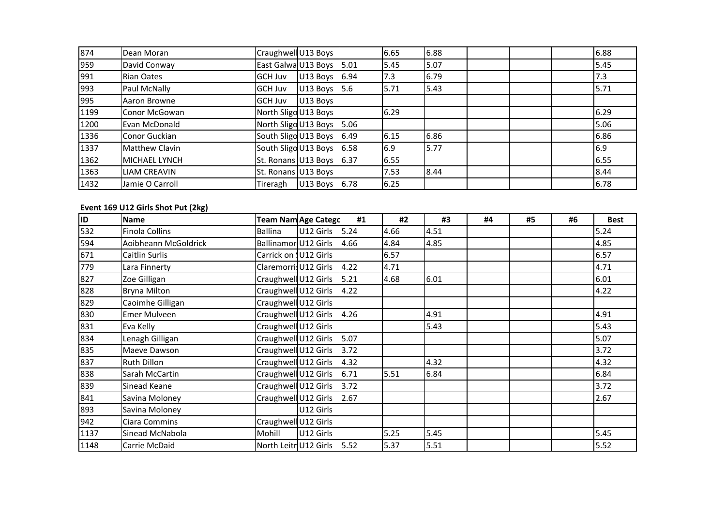| 874  | Dean Moran            | Craughwell U13 Boys  |          |      | 6.65 | 6.88 | 6.88 |
|------|-----------------------|----------------------|----------|------|------|------|------|
| 959  | David Conway          | East Galwa U13 Boys  |          | 5.01 | 5.45 | 5.07 | 5.45 |
| 991  | <b>Rian Oates</b>     | <b>GCH Juv</b>       | U13 Boys | 6.94 | 7.3  | 6.79 | 7.3  |
| 993  | Paul McNally          | <b>GCH Juv</b>       | U13 Boys | 15.6 | 5.71 | 5.43 | 5.71 |
| 995  | Aaron Browne          | <b>GCH Juv</b>       | U13 Boys |      |      |      |      |
| 1199 | Conor McGowan         | North Sligo U13 Boys |          |      | 6.29 |      | 6.29 |
| 1200 | Evan McDonald         | North Sligo U13 Boys |          | 5.06 |      |      | 5.06 |
| 1336 | Conor Guckian         | South Sligo U13 Boys |          | 6.49 | 6.15 | 6.86 | 6.86 |
| 1337 | <b>Matthew Clavin</b> | South Sligo U13 Boys |          | 6.58 | 6.9  | 5.77 | 6.9  |
| 1362 | MICHAEL LYNCH         | St. Ronans U13 Boys  |          | 6.37 | 6.55 |      | 6.55 |
| 1363 | <b>LIAM CREAVIN</b>   | St. Ronans U13 Boys  |          |      | 7.53 | 8.44 | 8.44 |
| 1432 | Jamie O Carroll       | Tireragh             | U13 Boys | 6.78 | 6.25 |      | 6.78 |

### **Event 169 U12 Girls Shot Put (2kg)**

| ID   | <b>Name</b>           |                       | Team Nam Age Catego | #1   | #2   | #3   | #4 | #5 | #6 | <b>Best</b> |
|------|-----------------------|-----------------------|---------------------|------|------|------|----|----|----|-------------|
| 532  | <b>Finola Collins</b> | <b>Ballina</b>        | U12 Girls           | 5.24 | 4.66 | 4.51 |    |    |    | 5.24        |
| 594  | Aoibheann McGoldrick  | Ballinamor U12 Girls  |                     | 4.66 | 4.84 | 4.85 |    |    |    | 4.85        |
| 671  | Caitlin Surlis        | Carrick on 1U12 Girls |                     |      | 6.57 |      |    |    |    | 6.57        |
| 779  | Lara Finnerty         | Claremorris U12 Girls |                     | 4.22 | 4.71 |      |    |    |    | 4.71        |
| 827  | Zoe Gilligan          | Craughwell U12 Girls  |                     | 5.21 | 4.68 | 6.01 |    |    |    | 6.01        |
| 828  | <b>Bryna Milton</b>   | Craughwell U12 Girls  |                     | 4.22 |      |      |    |    |    | 4.22        |
| 829  | Caoimhe Gilligan      | Craughwell U12 Girls  |                     |      |      |      |    |    |    |             |
| 830  | <b>Emer Mulveen</b>   | Craughwell U12 Girls  |                     | 4.26 |      | 4.91 |    |    |    | 4.91        |
| 831  | Eva Kelly             | Craughwell U12 Girls  |                     |      |      | 5.43 |    |    |    | 5.43        |
| 834  | Lenagh Gilligan       | Craughwell U12 Girls  |                     | 5.07 |      |      |    |    |    | 5.07        |
| 835  | Maeve Dawson          | Craughwell U12 Girls  |                     | 3.72 |      |      |    |    |    | 3.72        |
| 837  | <b>Ruth Dillon</b>    | Craughwell U12 Girls  |                     | 4.32 |      | 4.32 |    |    |    | 4.32        |
| 838  | Sarah McCartin        | Craughwell U12 Girls  |                     | 6.71 | 5.51 | 6.84 |    |    |    | 6.84        |
| 839  | Sinead Keane          | Craughwell U12 Girls  |                     | 3.72 |      |      |    |    |    | 3.72        |
| 841  | Savina Moloney        | Craughwell U12 Girls  |                     | 2.67 |      |      |    |    |    | 2.67        |
| 893  | Savina Moloney        |                       | U12 Girls           |      |      |      |    |    |    |             |
| 942  | Ciara Commins         | Craughwell U12 Girls  |                     |      |      |      |    |    |    |             |
| 1137 | Sinead McNabola       | Mohill                | U12 Girls           |      | 5.25 | 5.45 |    |    |    | 5.45        |
| 1148 | Carrie McDaid         | North Leitr U12 Girls |                     | 5.52 | 5.37 | 5.51 |    |    |    | 5.52        |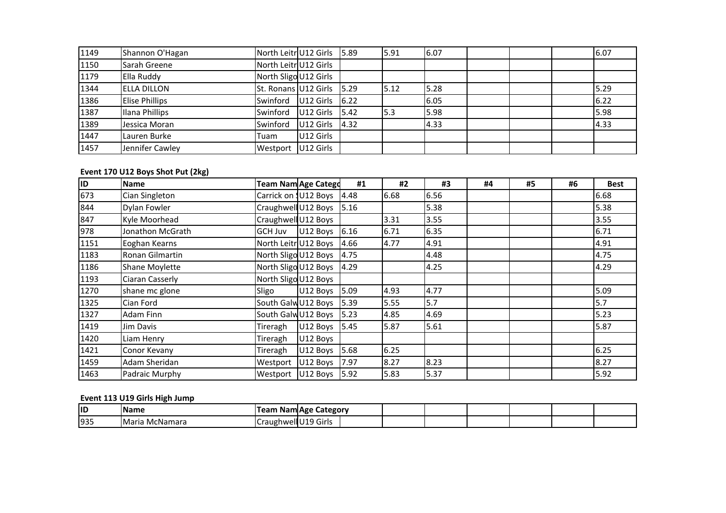| 1149 | Shannon O'Hagan       | North Leitr U12 Girls 5.89 |           |       | 15.91 | 6.07 | 16.07 |
|------|-----------------------|----------------------------|-----------|-------|-------|------|-------|
| 1150 | Sarah Greene          | North Leitr U12 Girls      |           |       |       |      |       |
| 1179 | Ella Ruddy            | North Sligo U12 Girls      |           |       |       |      |       |
| 1344 | <b>ELLA DILLON</b>    | St. Ronans U12 Girls 5.29  |           |       | 15.12 | 5.28 | 5.29  |
| 1386 | <b>Elise Phillips</b> | Swinford                   | U12 Girls | 6.22  |       | 6.05 | 6.22  |
| 1387 | Ilana Phillips        | Swinford                   | U12 Girls | 15.42 | I5.3  | 5.98 | 5.98  |
| 1389 | Jessica Moran         | Swinford                   | U12 Girls | 4.32  |       | 4.33 | 4.33  |
| 1447 | Lauren Burke          | Tuam                       | U12 Girls |       |       |      |       |
| 1457 | Jennifer Cawley       | Westport                   | U12 Girls |       |       |      |       |

# **Event 170 U12 Boys Shot Put (2kg)**

| ID   | <b>Name</b>         | Team Nam Age Catego  |          | #1   | #2   | #3   | #4 | #5 | #6 | <b>Best</b> |
|------|---------------------|----------------------|----------|------|------|------|----|----|----|-------------|
| 673  | Cian Singleton      | Carrick on 1U12 Boys |          | 4.48 | 6.68 | 6.56 |    |    |    | 6.68        |
| 844  | <b>Dylan Fowler</b> | Craughwell U12 Boys  |          | 5.16 |      | 5.38 |    |    |    | 5.38        |
| 847  | Kyle Moorhead       | Craughwell U12 Boys  |          |      | 3.31 | 3.55 |    |    |    | 3.55        |
| 978  | Jonathon McGrath    | <b>GCH Juv</b>       | U12 Boys | 6.16 | 6.71 | 6.35 |    |    |    | 6.71        |
| 1151 | Eoghan Kearns       | North Leitr U12 Boys |          | 4.66 | 4.77 | 4.91 |    |    |    | 4.91        |
| 1183 | Ronan Gilmartin     | North Sligo U12 Boys |          | 4.75 |      | 4.48 |    |    |    | 4.75        |
| 1186 | Shane Moylette      | North Sligo U12 Boys |          | 4.29 |      | 4.25 |    |    |    | 4.29        |
| 1193 | Ciaran Casserly     | North Sligo U12 Boys |          |      |      |      |    |    |    |             |
| 1270 | shane mc glone      | Sligo                | U12 Boys | 5.09 | 4.93 | 4.77 |    |    |    | 5.09        |
| 1325 | Cian Ford           | South Galw U12 Boys  |          | 5.39 | 5.55 | 5.7  |    |    |    | 5.7         |
| 1327 | Adam Finn           | South Galw U12 Boys  |          | 5.23 | 4.85 | 4.69 |    |    |    | 5.23        |
| 1419 | Jim Davis           | Tireragh             | U12 Boys | 5.45 | 5.87 | 5.61 |    |    |    | 5.87        |
| 1420 | Liam Henry          | Tireragh             | U12 Boys |      |      |      |    |    |    |             |
| 1421 | Conor Kevany        | Tireragh             | U12 Boys | 5.68 | 6.25 |      |    |    |    | 6.25        |
| 1459 | Adam Sheridan       | Westport             | U12 Boys | 7.97 | 8.27 | 8.23 |    |    |    | 8.27        |
| 1463 | Padraic Murphy      | Westport             | U12 Boys | 5.92 | 5.83 | 5.37 |    |    |    | 5.92        |

# **Event 113 U19 Girls High Jump**

| <b>IID</b> | INamı               | . Naml Age<br><b>Team</b><br>Lategory   |  |  |  |
|------------|---------------------|-----------------------------------------|--|--|--|
| 935        | I Marı:<br>McNamara | $\sim$<br>าwell<br>19 Girls<br>—craugh∵ |  |  |  |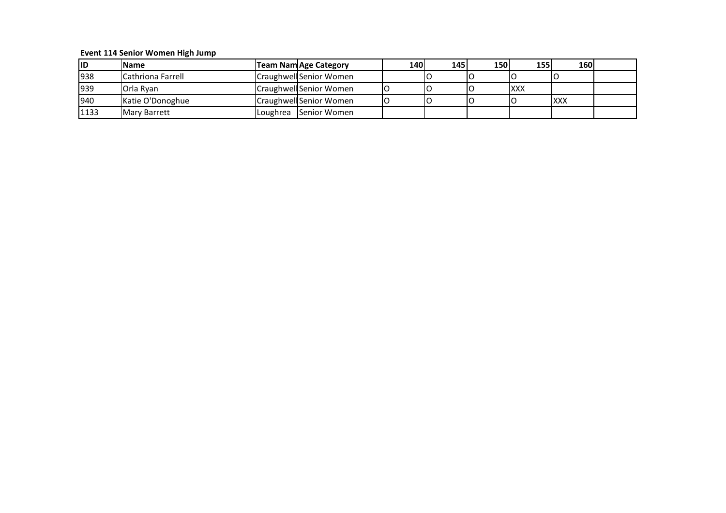### **Event 114 Senior Women High Jump**

| <b>IID</b> | <b>IName</b>              | <b>Team Nam Age Category</b> | 140 I | 145 | <b>150</b> | <b>155</b>  | <b>160l</b> |  |
|------------|---------------------------|------------------------------|-------|-----|------------|-------------|-------------|--|
| 1938       | <b>ICathriona Farrell</b> | Craughwell Senior Women      |       |     |            |             |             |  |
| 939        | <b>Orla Ryan</b>          | Craughwell Senior Women      |       |     |            | <b>IXXX</b> |             |  |
| 940        | Katie O'Donoghue          | Craughwell Senior Women      |       |     |            |             | <b>IXXX</b> |  |
| 1133       | <b>Mary Barrett</b>       | Loughrea Senior Women        |       |     |            |             |             |  |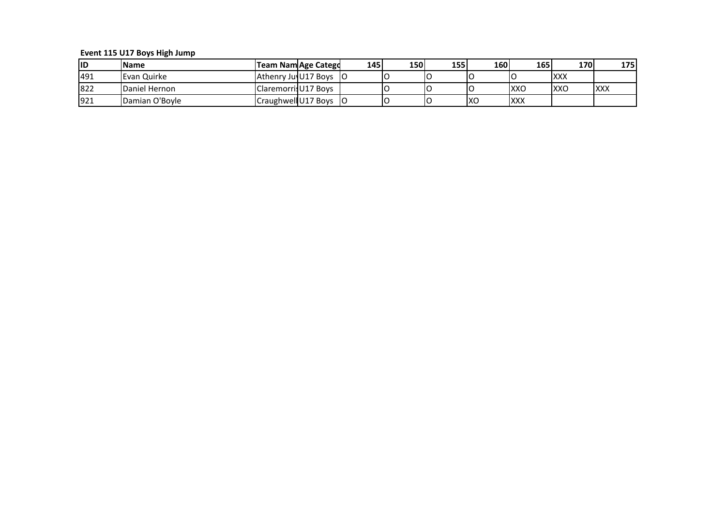### **Event 115 U17 Boys High Jump**

| lid | <b>Name</b>    | <b>Team Nam Age Catego</b>     | 145 l | 150 | 155 | 160 | 165        | 170        | 175 I      |
|-----|----------------|--------------------------------|-------|-----|-----|-----|------------|------------|------------|
| 491 | Evan Quirke    | <b>Athenry Jul U17 Boys</b> 10 |       |     |     |     |            | <b>XXX</b> |            |
| 822 | Daniel Hernon  | <b>Claremorris U17 Boys</b>    |       |     |     |     | <b>XXO</b> | <b>XXO</b> | <b>XXX</b> |
| 921 | Damian O'Boyle | Craughwell U17 Boys            | - 10  |     |     | Ixo | <b>XXX</b> |            |            |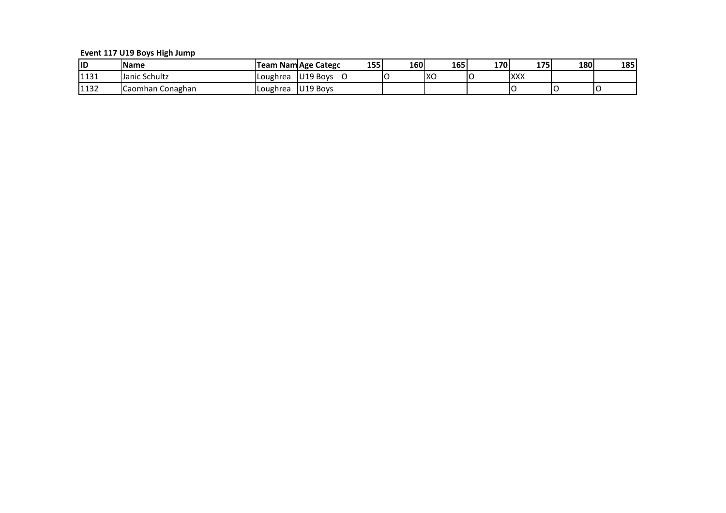### **Event 117 U19 Boys High Jump**

| <b>IID</b> | <b>Name</b>      |                 | <b>Team Nam Age Categd</b> | 155 | 160 | 165 | 170 | 175<br>--  | 180 | 185 |
|------------|------------------|-----------------|----------------------------|-----|-----|-----|-----|------------|-----|-----|
| 1131       | Janic Schultz    | <b>Loughrea</b> | U <sub>19</sub> Bovs       | IO  |     | Ixc |     | <b>XXX</b> |     |     |
| 1132       | Caomhan Conaghan | Loughrea        | U19 Boys                   |     |     |     |     |            |     |     |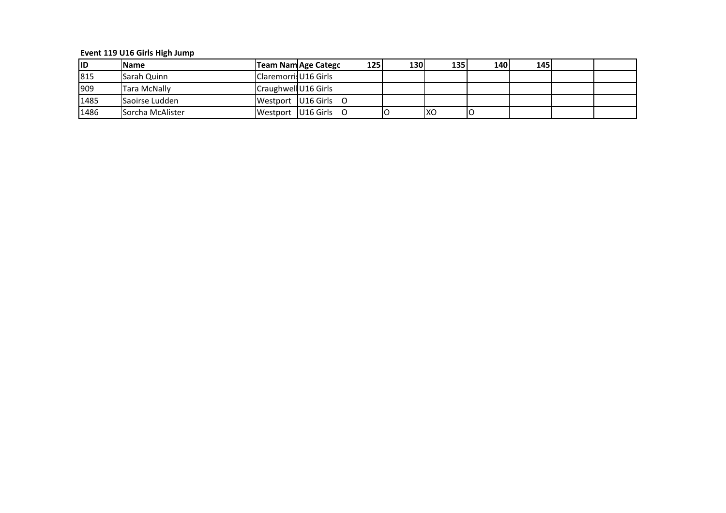### **Event 119 U16 Girls High Jump**

| <b>IID</b> | <b>IName</b>            | Team Nam Age Catego          | <b>1251</b> | <b>130</b> | <b>135</b> | 140 l | 145 |  |
|------------|-------------------------|------------------------------|-------------|------------|------------|-------|-----|--|
| 815        | <b>Sarah Quinn</b>      | <b>Claremorris U16 Girls</b> |             |            |            |       |     |  |
| 909        | <b>Tara McNally</b>     | Craughwell U16 Girls         |             |            |            |       |     |  |
| 1485       | <b>Saoirse Ludden</b>   | Westport U16 Girls 10        |             |            |            |       |     |  |
| 1486       | <b>Sorcha McAlister</b> | Westport U16 Girls 10        |             |            | lxo        |       |     |  |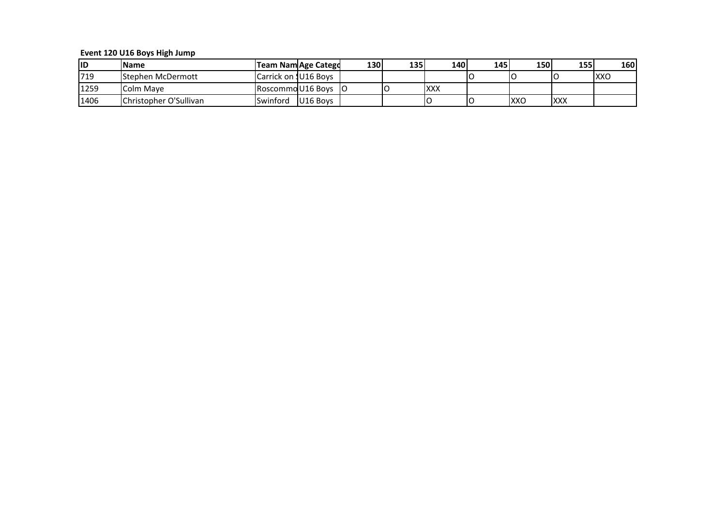### **Event 120 U16 Boys High Jump**

| lid  | <b>Name</b>                    | Team Nam Age Catego          |          | 130 | 135 I | 140        | 145 | <b>150l</b> | <b>1551</b> | <b>160</b> |
|------|--------------------------------|------------------------------|----------|-----|-------|------------|-----|-------------|-------------|------------|
| 719  | <b>IStephen McDermott</b>      | <b>ICarrick on 1U16 Boys</b> |          |     |       |            |     |             |             | <b>XXC</b> |
| 1259 | Colm Maye                      | RoscommoU16 Boys 10          |          |     |       | <b>XXX</b> |     |             |             |            |
| 1406 | <b>IChristopher O'Sullivan</b> | Swinford                     | U16 Boys |     |       |            |     | <b>XXO</b>  | <b>XXX</b>  |            |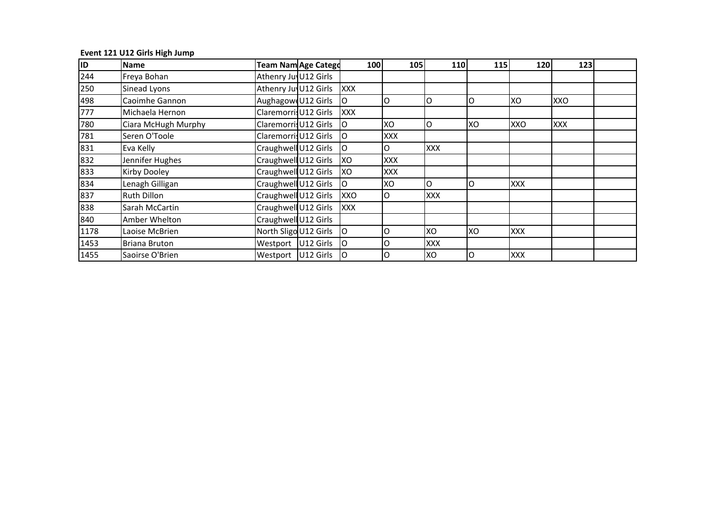# **Event 121 U12 Girls High Jump**

| <b>ID</b> | Name                 |                       | Team Nam Age Catego | 100        | 105        | 110        | 115 | 120        | 123        |  |
|-----------|----------------------|-----------------------|---------------------|------------|------------|------------|-----|------------|------------|--|
| 244       | Freya Bohan          | Athenry Juy U12 Girls |                     |            |            |            |     |            |            |  |
| 250       | Sinead Lyons         | Athenry Ju U12 Girls  |                     | <b>XXX</b> |            |            |     |            |            |  |
| 498       | Caoimhe Gannon       | Aughagowe U12 Girls   |                     | IO         | lO         | O          | lo  | <b>XO</b>  | XXO        |  |
| 777       | Michaela Hernon      | Claremorris U12 Girls |                     | <b>XXX</b> |            |            |     |            |            |  |
| 780       | Ciara McHugh Murphy  | Claremorris U12 Girls |                     | ΙO         | XO         | O          | XO  | XXO        | <b>XXX</b> |  |
| 781       | Seren O'Toole        | Claremorris U12 Girls |                     | lo         | <b>XXX</b> |            |     |            |            |  |
| 831       | Eva Kelly            | Craughwell U12 Girls  |                     | IΟ         | lO         | <b>XXX</b> |     |            |            |  |
| 832       | Jennifer Hughes      | Craughwell U12 Girls  |                     | XO         | <b>XXX</b> |            |     |            |            |  |
| 833       | <b>Kirby Dooley</b>  | Craughwell U12 Girls  |                     | <b>XO</b>  | <b>XXX</b> |            |     |            |            |  |
| 834       | Lenagh Gilligan      | Craughwell U12 Girls  |                     | Io         | XO         | O          | IO  | <b>XXX</b> |            |  |
| 837       | <b>Ruth Dillon</b>   | Craughwell U12 Girls  |                     | XXO        | lO         | <b>XXX</b> |     |            |            |  |
| 838       | Sarah McCartin       | Craughwell U12 Girls  |                     | <b>XXX</b> |            |            |     |            |            |  |
| 840       | Amber Whelton        | Craughwell U12 Girls  |                     |            |            |            |     |            |            |  |
| 1178      | Laoise McBrien       | North Sligo U12 Girls |                     | lo         | IO         | XO         | XO  | <b>XXX</b> |            |  |
| 1453      | <b>Briana Bruton</b> | Westport U12 Girls    |                     | lo         | ΙO         | XXX        |     |            |            |  |
| 1455      | Saoirse O'Brien      | Westport U12 Girls    |                     | IO         | O          | XO         | lo  | <b>XXX</b> |            |  |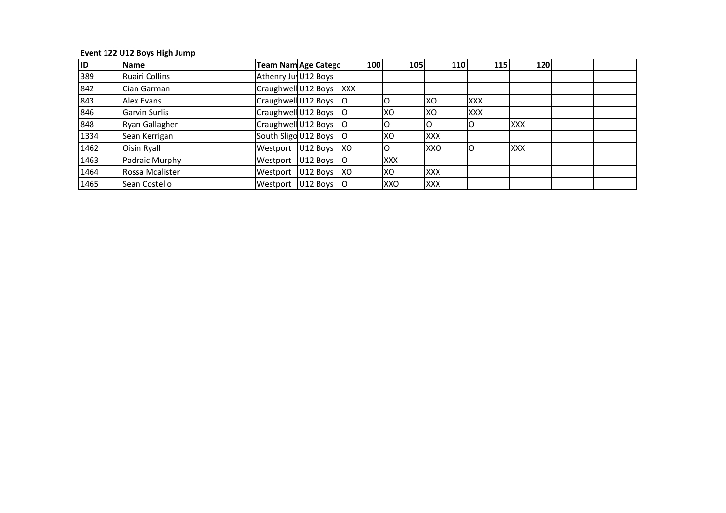# **Event 122 U12 Boys High Jump**

| <b>ID</b> | <b>Name</b>           |                         | <b>Team Nam Age Catego</b> | 100        | 105        | 110        | 115        | 120        |  |
|-----------|-----------------------|-------------------------|----------------------------|------------|------------|------------|------------|------------|--|
| 389       | <b>Ruairi Collins</b> | Athenry Juy U12 Boys    |                            |            |            |            |            |            |  |
| 842       | Cian Garman           | Craughwell U12 Boys     |                            | <b>XXX</b> |            |            |            |            |  |
| 843       | Alex Evans            | Craughwell U12 Boys   O |                            |            |            | ΙXΟ        | <b>XXX</b> |            |  |
| 846       | <b>Garvin Surlis</b>  | Craughwell U12 Boys     |                            |            | XO         | XO         | <b>XXX</b> |            |  |
| 848       | Ryan Gallagher        | Craughwell U12 Boys   O |                            |            |            |            |            | <b>XXX</b> |  |
| 1334      | Sean Kerrigan         | South Sligo U12 Boys    |                            |            | IXO.       | <b>XXX</b> |            |            |  |
| 1462      | Oisin Ryall           | Westport U12 Boys XO    |                            |            |            | XXO        |            | <b>XXX</b> |  |
| 1463      | Padraic Murphy        | Westport                | U12 Boys                   |            | <b>XXX</b> |            |            |            |  |
| 1464      | Rossa Mcalister       | Westport                | U12 Boys                   | XO         | XO         | <b>XXX</b> |            |            |  |
| 1465      | Sean Costello         | Westport                | $U12$ Boys $O$             |            | <b>XXO</b> | <b>XXX</b> |            |            |  |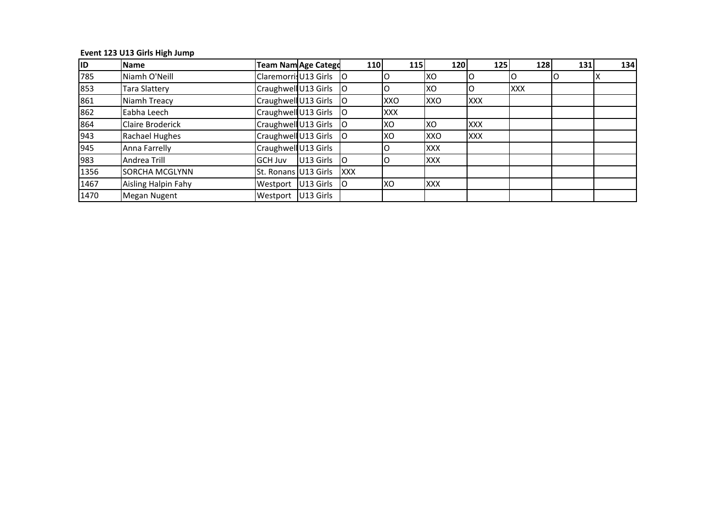# **Event 123 U13 Girls High Jump**

| ID   | <b>Name</b>           |                      | <b>Team Nam Age Catego</b> | 110        | 115        | 120        | 125        | 128        | 131 | 134 |
|------|-----------------------|----------------------|----------------------------|------------|------------|------------|------------|------------|-----|-----|
| 785  | Niamh O'Neill         |                      | Claremorris U13 Girls   O  |            |            | XO         | IO         | ιO         | U   |     |
| 853  | Tara Slattery         |                      | Craughwell U13 Girls   O   |            |            | XO         | IO         | <b>XXX</b> |     |     |
| 861  | Niamh Treacy          | Craughwell U13 Girls |                            | -lo        | XXO        | XXO        | <b>XXX</b> |            |     |     |
| 862  | Eabha Leech           | Craughwell U13 Girls |                            | - 10       | <b>XXX</b> |            |            |            |     |     |
| 864  | Claire Broderick      | Craughwell U13 Girls |                            | - 10       | XO.        | XO         | <b>XXX</b> |            |     |     |
| 943  | Rachael Hughes        | Craughwell U13 Girls |                            | -lo        | XO         | XXO        | <b>XXX</b> |            |     |     |
| 945  | Anna Farrelly         | Craughwell U13 Girls |                            |            |            | <b>XXX</b> |            |            |     |     |
| 983  | Andrea Trill          | <b>GCH Juv</b>       | U13 Girls                  | -lo        |            | <b>XXX</b> |            |            |     |     |
| 1356 | <b>SORCHA MCGLYNN</b> | St. Ronans U13 Girls |                            | <b>XXX</b> |            |            |            |            |     |     |
| 1467 | Aisling Halpin Fahy   |                      | Westport U13 Girls O       |            | XO         | <b>XXX</b> |            |            |     |     |
| 1470 | Megan Nugent          | Westport             | U13 Girls                  |            |            |            |            |            |     |     |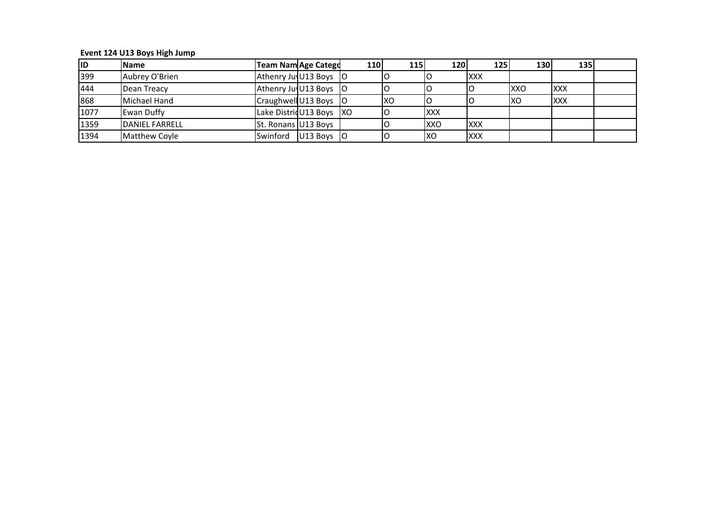# **Event 124 U13 Boys High Jump**

| lid  | <b>Name</b>           | <b>Team Nam Age Catego</b> |                 | <b>110</b> | <b>115</b> | 120        | <b>125</b> | <b>130</b> | 135         |  |
|------|-----------------------|----------------------------|-----------------|------------|------------|------------|------------|------------|-------------|--|
| 399  | Aubrey O'Brien        | Athenry Ju U13 Boys   O    |                 |            |            |            | <b>XXX</b> |            |             |  |
| 444  | Dean Treacy           | Athenry Jul U13 Boys   O   |                 |            |            |            |            | <b>XXO</b> | <b>IXXX</b> |  |
| 868  | Michael Hand          | Craughwell U13 Boys   O    |                 |            | ΙXΟ        |            |            | IXO        | <b>XXX</b>  |  |
| 1077 | Ewan Duffy            | Lake Districulu Boys XO    |                 |            |            | <b>XXX</b> |            |            |             |  |
| 1359 | <b>DANIEL FARRELL</b> | St. Ronans U13 Boys        |                 |            |            | XXO        | <b>XXX</b> |            |             |  |
| 1394 | Matthew Coyle         | Swinford                   | $U13$ Boys $ O$ |            |            | IXO        | <b>XXX</b> |            |             |  |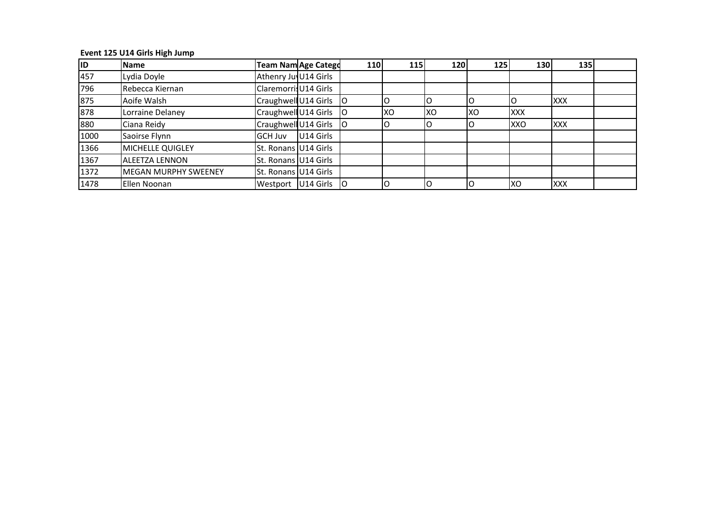### **Event 125 U14 Girls High Jump**

| <b>ID</b> | <b>Name</b>                 |                          | <b>Team Nam Age Catego</b> | 110 | <b>115</b> | 120 | 125 | 130        | <b>135</b> |  |
|-----------|-----------------------------|--------------------------|----------------------------|-----|------------|-----|-----|------------|------------|--|
| 457       | Lydia Doyle                 | Athenry Jul U14 Girls    |                            |     |            |     |     |            |            |  |
| 796       | Rebecca Kiernan             | Claremorris U14 Girls    |                            |     |            |     |     |            |            |  |
| 875       | Aoife Walsh                 | Craughwell U14 Girls   O |                            |     |            |     |     |            | <b>XXX</b> |  |
| 878       | Lorraine Delaney            | Craughwell U14 Girls     |                            |     | <b>XO</b>  | XO  | ΙXΟ | <b>XXX</b> |            |  |
| 880       | Ciana Reidy                 |                          | Craughwell U14 Girls   O   |     |            |     |     | XXO        | <b>XXX</b> |  |
| 1000      | Saoirse Flynn               | <b>GCH Juv</b>           | U14 Girls                  |     |            |     |     |            |            |  |
| 1366      | <b>MICHELLE QUIGLEY</b>     | St. Ronans U14 Girls     |                            |     |            |     |     |            |            |  |
| 1367      | <b>ALEETZA LENNON</b>       | St. Ronans U14 Girls     |                            |     |            |     |     |            |            |  |
| 1372      | <b>MEGAN MURPHY SWEENEY</b> | St. Ronans U14 Girls     |                            |     |            |     |     |            |            |  |
| 1478      | Ellen Noonan                | Westport U14 Girls O     |                            |     |            | Ő   |     | Ixo        | <b>XXX</b> |  |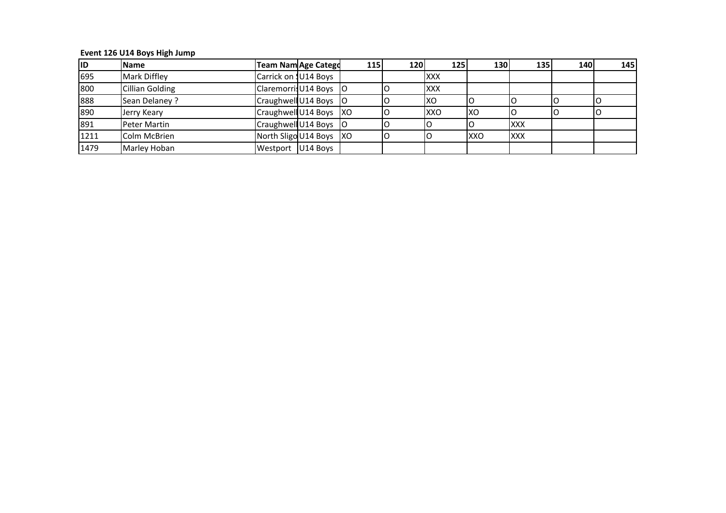# **Event 126 U14 Boys High Jump**

| <b>ID</b> | <b>Name</b>         | <b>Team Nam Age Catego</b> |                          | 115 | 120 | 125        | 130        | <b>135</b> | 140 | 145 |
|-----------|---------------------|----------------------------|--------------------------|-----|-----|------------|------------|------------|-----|-----|
| 695       | <b>Mark Diffley</b> | Carrick on 1U14 Boys       |                          |     |     | <b>XXX</b> |            |            |     |     |
| 800       | Cillian Golding     |                            | Claremorris U14 Boys   O |     |     | <b>XXX</b> |            |            |     |     |
| 888       | Sean Delaney?       | Craughwell U14 Boys   O    |                          |     |     | IXO        |            |            |     |     |
| 890       | Jerry Keary         |                            | Craughwell U14 Boys XO   |     |     | XXO        | Ixo        |            |     |     |
| 891       | <b>Peter Martin</b> | Craughwell U14 Boys   O    |                          |     |     |            |            | <b>XXX</b> |     |     |
| 1211      | Colm McBrien        | North Sligo U14 Boys XO    |                          |     |     |            | <b>XXO</b> | <b>XXX</b> |     |     |
| 1479      | Marley Hoban        | Westport U14 Boys          |                          |     |     |            |            |            |     |     |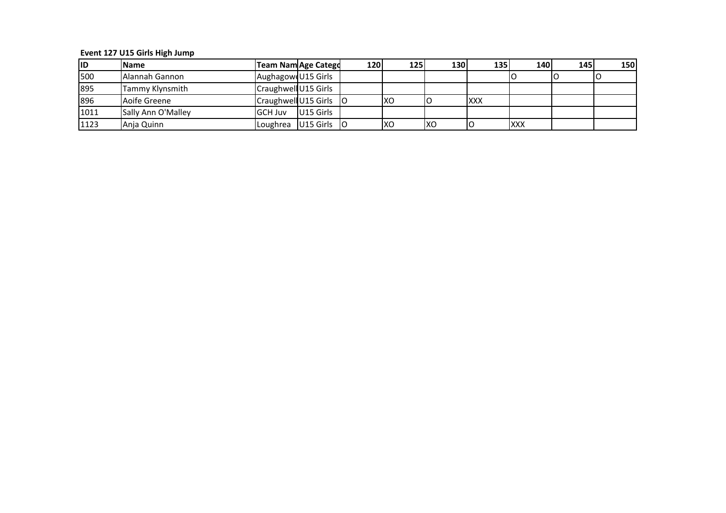# **Event 127 U15 Girls High Jump**

| <b>IID</b> | <b>Name</b>           | <b>Team Nam Age Catego</b> |                           | <b>1201</b> | 1251 | 130 | <b>135</b> | <b>140</b> | <b>145</b> | 150 |
|------------|-----------------------|----------------------------|---------------------------|-------------|------|-----|------------|------------|------------|-----|
| 500        | <b>Alannah Gannon</b> | Aughagow U15 Girls         |                           |             |      |     |            |            |            |     |
| 895        | Tammy Klynsmith       | Craughwell U15 Girls       |                           |             |      |     |            |            |            |     |
| 896        | Aoife Greene          | Craughwell U15 Girls   O   |                           |             | Ixo  |     | <b>XXX</b> |            |            |     |
| 1011       | Sally Ann O'Malley    | <b>GCH Juv</b>             | U15 Girls                 |             |      |     |            |            |            |     |
| 1123       | Anja Quinn            | Loughrea                   | U <sub>15</sub> Girls   O |             | Ixo  | IXO | ТC         | <b>XXX</b> |            |     |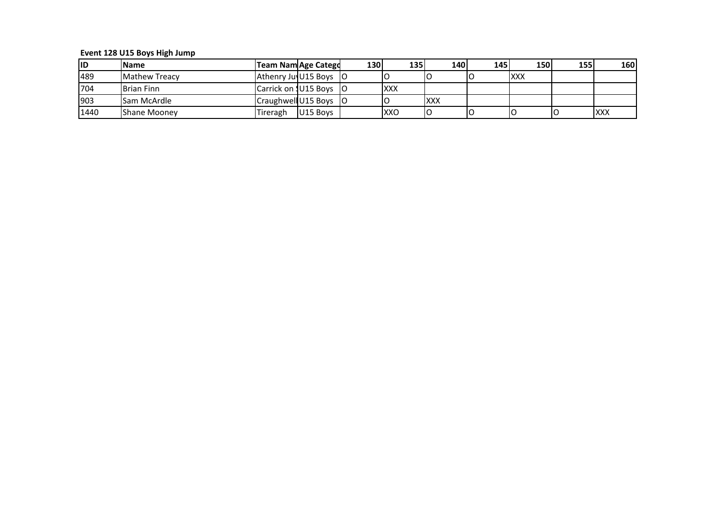# **Event 128 U15 Boys High Jump**

| lid  | <b>Name</b>           | <b>Team Nam Age Catego</b>     |                      | <b>1301</b> | 1351       | 140        | <b>145</b> | <b>150</b>  | <b>155</b> | 160        |
|------|-----------------------|--------------------------------|----------------------|-------------|------------|------------|------------|-------------|------------|------------|
| 489  | <b>IMathew Treacy</b> | Athenry Jul U15 Boys 10        |                      |             |            |            |            | <b>IXXX</b> |            |            |
| 704  | <b>Brian Finn</b>     | <b>Carrick on 1015 Boys</b> 10 |                      |             | <b>XXX</b> |            |            |             |            |            |
| 1903 | <b>Sam McArdle</b>    | Craughwell U15 Boys   O        |                      |             |            | <b>XXX</b> |            |             |            |            |
| 1440 | <b>Shane Mooney</b>   | Tireragh                       | U <sub>15</sub> Boys |             | <b>XXO</b> |            |            |             |            | <b>XXX</b> |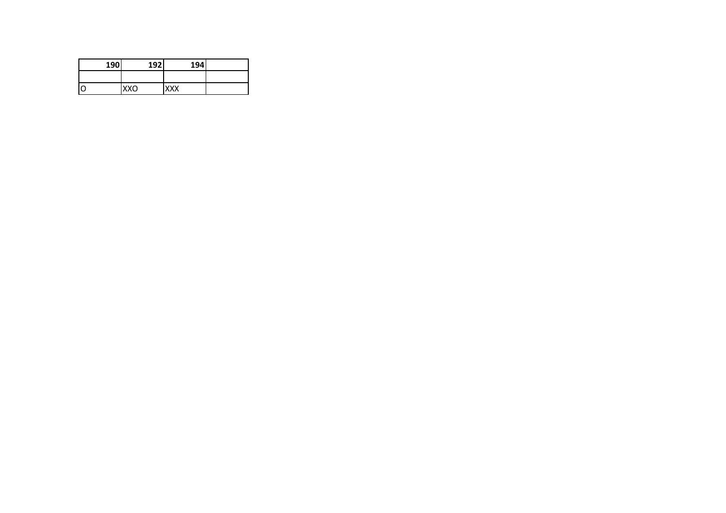| 190 | 192        | 194 |  |
|-----|------------|-----|--|
|     |            |     |  |
|     | <b>XXO</b> | XXX |  |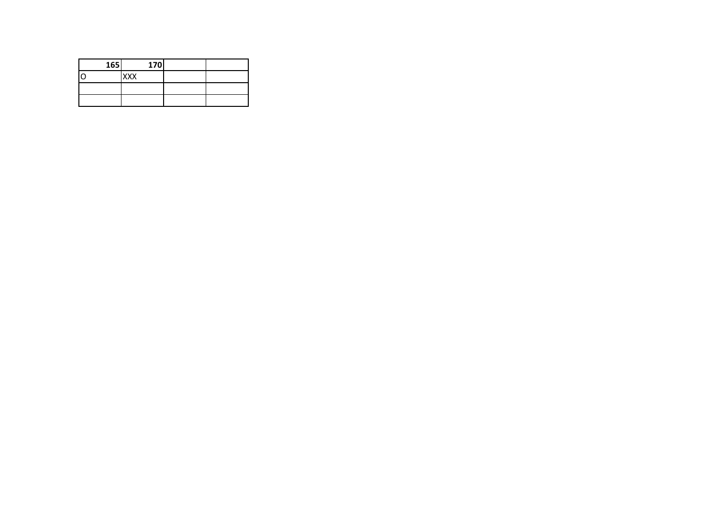| 165 | 170        |  |
|-----|------------|--|
|     | <b>XXX</b> |  |
|     |            |  |
|     |            |  |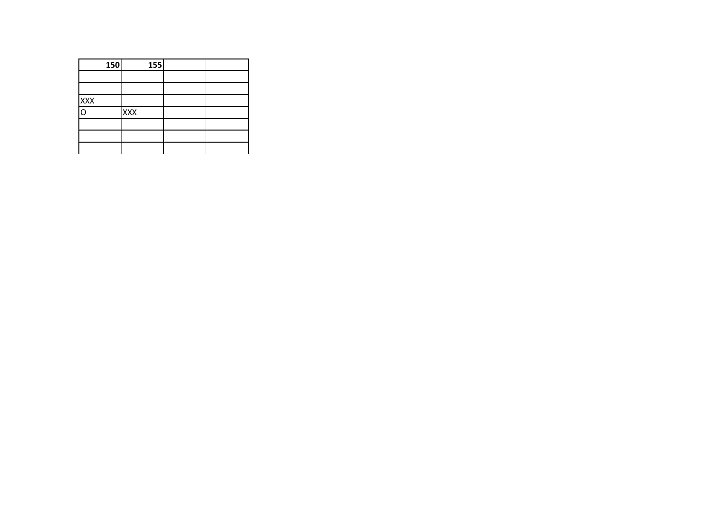|            | 150 | 155        |  |
|------------|-----|------------|--|
|            |     |            |  |
|            |     |            |  |
| <b>XXX</b> |     |            |  |
| lo         |     | <b>XXX</b> |  |
|            |     |            |  |
|            |     |            |  |
|            |     |            |  |